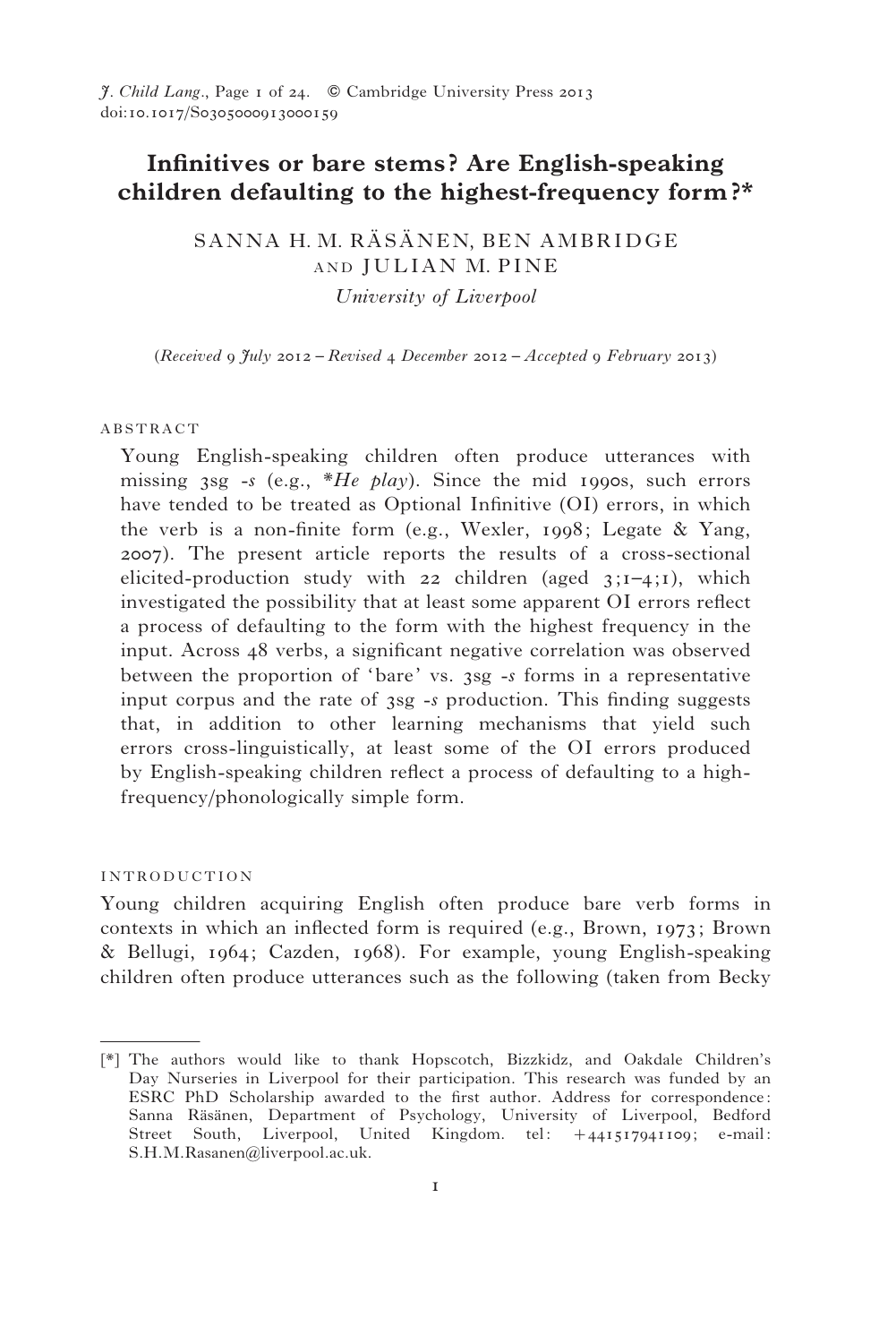# Infinitives or bare stems ? Are English-speaking children defaulting to the highest-frequency form?\*

SANNA H. M. RÄSÄNEN, BEN AMBRIDGE AND JULIAN M. PINE

University of Liverpool

(Received 9 July 2012 – Revised 4 December 2012 – Accepted 9 February 2013)

### ABSTRACT

Young English-speaking children often produce utterances with missing 3sg -s (e.g.,  $*He$  play). Since the mid 1990s, such errors have tended to be treated as Optional Infinitive (OI) errors, in which the verb is a non-finite form (e.g., Wexler, 1998; Legate & Yang, 2007). The present article reports the results of a cross-sectional elicited-production study with 22 children (aged  $3;1-4;1$ ), which investigated the possibility that at least some apparent OI errors reflect a process of defaulting to the form with the highest frequency in the input. Across 48 verbs, a significant negative correlation was observed between the proportion of 'bare' vs. 3sg -s forms in a representative input corpus and the rate of 3sg -s production. This finding suggests that, in addition to other learning mechanisms that yield such errors cross-linguistically, at least some of the OI errors produced by English-speaking children reflect a process of defaulting to a highfrequency/phonologically simple form.

### INTRODUCTION

Young children acquiring English often produce bare verb forms in contexts in which an inflected form is required (e.g., Brown, 1973; Brown & Bellugi, 1964; Cazden, 1968). For example, young English-speaking children often produce utterances such as the following (taken from Becky

<sup>[\*]</sup> The authors would like to thank Hopscotch, Bizzkidz, and Oakdale Children's Day Nurseries in Liverpool for their participation. This research was funded by an ESRC PhD Scholarship awarded to the first author. Address for correspondence: Sanna Räsänen, Department of Psychology, University of Liverpool, Bedford Street South, Liverpool, United Kingdom. tel: +441517941109; e-mail: S.H.M.Rasanen@liverpool.ac.uk.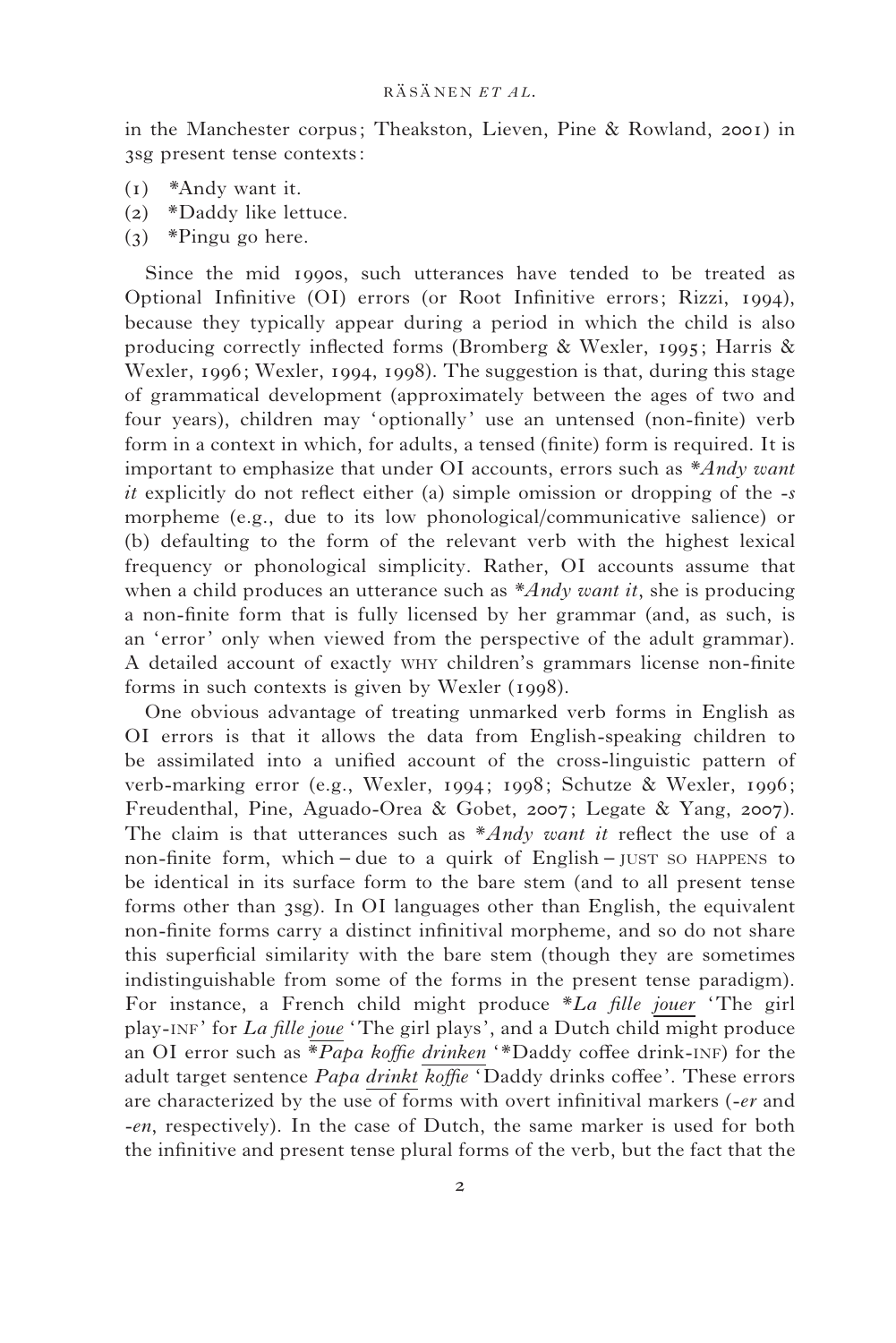in the Manchester corpus; Theakston, Lieven, Pine & Rowland, 2001) in 3sg present tense contexts:

- (1) \*Andy want it.
- (2) \*Daddy like lettuce.
- (3) \*Pingu go here.

Since the mid 1990s, such utterances have tended to be treated as Optional Infinitive (OI) errors (or Root Infinitive errors; Rizzi, 1994), because they typically appear during a period in which the child is also producing correctly inflected forms (Bromberg & Wexler, 1995; Harris & Wexler, 1996; Wexler, 1994, 1998). The suggestion is that, during this stage of grammatical development (approximately between the ages of two and four years), children may 'optionally' use an untensed (non-finite) verb form in a context in which, for adults, a tensed (finite) form is required. It is important to emphasize that under OI accounts, errors such as  $*Andy$  want it explicitly do not reflect either (a) simple omission or dropping of the  $-$ s morpheme (e.g., due to its low phonological/communicative salience) or (b) defaulting to the form of the relevant verb with the highest lexical frequency or phonological simplicity. Rather, OI accounts assume that when a child produces an utterance such as  $*Andy$  want it, she is producing a non-finite form that is fully licensed by her grammar (and, as such, is an 'error' only when viewed from the perspective of the adult grammar). A detailed account of exactly WHY children's grammars license non-finite forms in such contexts is given by Wexler (1998).

One obvious advantage of treating unmarked verb forms in English as OI errors is that it allows the data from English-speaking children to be assimilated into a unified account of the cross-linguistic pattern of verb-marking error (e.g., Wexler, 1994; 1998; Schutze & Wexler, 1996; Freudenthal, Pine, Aguado-Orea & Gobet, 2007; Legate & Yang, 2007). The claim is that utterances such as  $*Andy$  want it reflect the use of a non-finite form, which – due to a quirk of English – JUST SO HAPPENS to be identical in its surface form to the bare stem (and to all present tense forms other than 3sg). In OI languages other than English, the equivalent non-finite forms carry a distinct infinitival morpheme, and so do not share this superficial similarity with the bare stem (though they are sometimes indistinguishable from some of the forms in the present tense paradigm). For instance, a French child might produce  $*La$  fille jouer 'The girl play-INF' for La fille joue 'The girl plays', and a Dutch child might produce an OI error such as \*Papa koffie drinken '\*Daddy coffee drink-INF) for the adult target sentence Papa drinkt koffie 'Daddy drinks coffee'. These errors are characterized by the use of forms with overt infinitival markers (-er and -en, respectively). In the case of Dutch, the same marker is used for both the infinitive and present tense plural forms of the verb, but the fact that the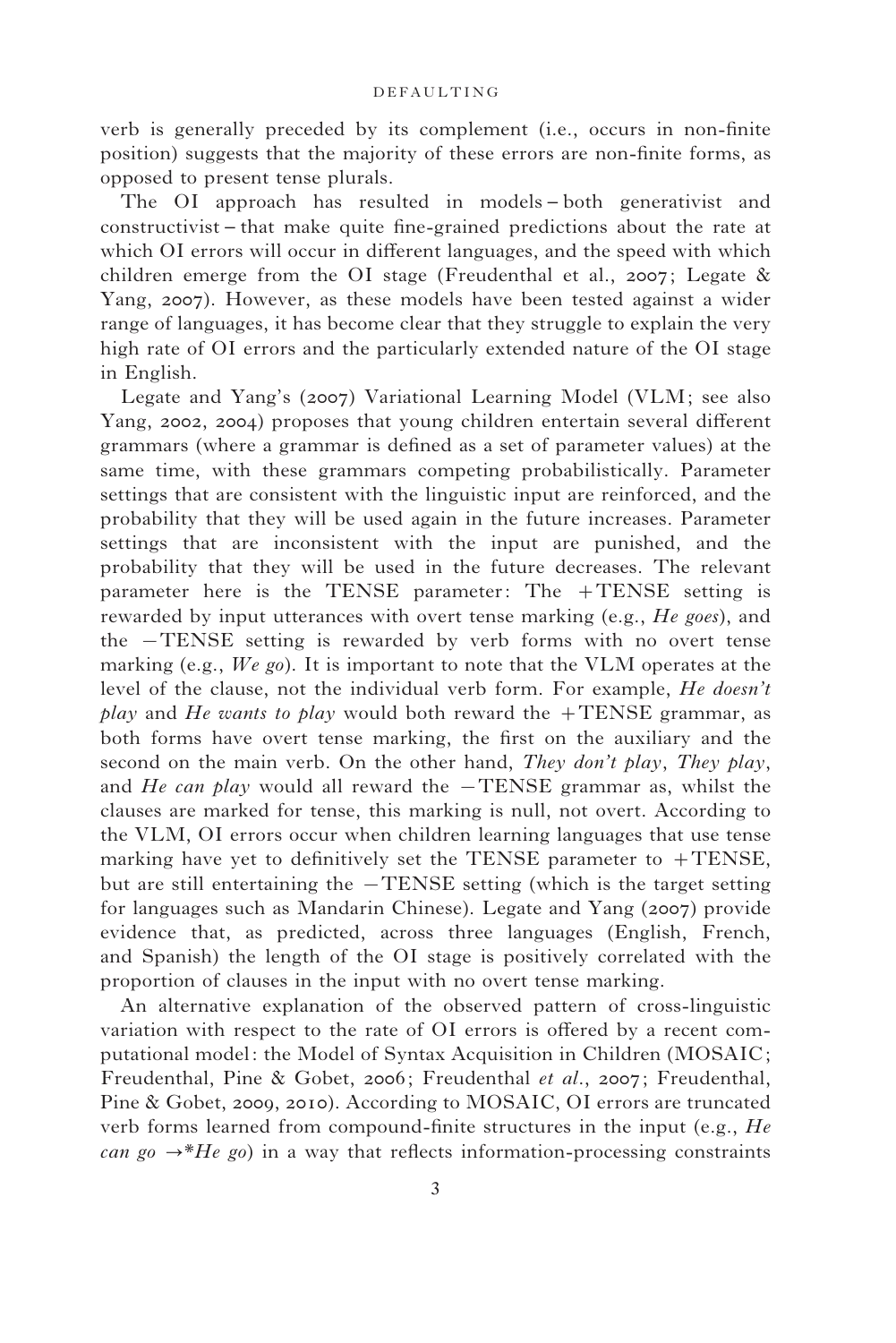verb is generally preceded by its complement (i.e., occurs in non-finite position) suggests that the majority of these errors are non-finite forms, as opposed to present tense plurals.

The OI approach has resulted in models – both generativist and constructivist – that make quite fine-grained predictions about the rate at which OI errors will occur in different languages, and the speed with which children emerge from the OI stage (Freudenthal et al., 2007; Legate  $\&$ Yang, 2007). However, as these models have been tested against a wider range of languages, it has become clear that they struggle to explain the very high rate of OI errors and the particularly extended nature of the OI stage in English.

Legate and Yang's (2007) Variational Learning Model (VLM; see also Yang, 2002, 2004) proposes that young children entertain several different grammars (where a grammar is defined as a set of parameter values) at the same time, with these grammars competing probabilistically. Parameter settings that are consistent with the linguistic input are reinforced, and the probability that they will be used again in the future increases. Parameter settings that are inconsistent with the input are punished, and the probability that they will be used in the future decreases. The relevant parameter here is the TENSE parameter: The +TENSE setting is rewarded by input utterances with overt tense marking (e.g.,  $He$  goes), and the -TENSE setting is rewarded by verb forms with no overt tense marking (e.g.,  $We go$ ). It is important to note that the VLM operates at the level of the clause, not the individual verb form. For example, He doesn't *play* and *He wants to play* would both reward the  $+TENSE$  grammar, as both forms have overt tense marking, the first on the auxiliary and the second on the main verb. On the other hand, They don't play, They play, and He can play would all reward the  $-$ TENSE grammar as, whilst the clauses are marked for tense, this marking is null, not overt. According to the VLM, OI errors occur when children learning languages that use tense marking have yet to definitively set the TENSE parameter to  $+$ TENSE, but are still entertaining the  $-$ TENSE setting (which is the target setting for languages such as Mandarin Chinese). Legate and Yang (2007) provide evidence that, as predicted, across three languages (English, French, and Spanish) the length of the OI stage is positively correlated with the proportion of clauses in the input with no overt tense marking.

An alternative explanation of the observed pattern of cross-linguistic variation with respect to the rate of OI errors is offered by a recent computational model: the Model of Syntax Acquisition in Children (MOSAIC; Freudenthal, Pine & Gobet, 2006; Freudenthal et al., 2007; Freudenthal, Pine & Gobet, 2009, 2010). According to MOSAIC, OI errors are truncated verb forms learned from compound-finite structures in the input (e.g.,  $He$ can go  $\rightarrow$ \*He go) in a way that reflects information-processing constraints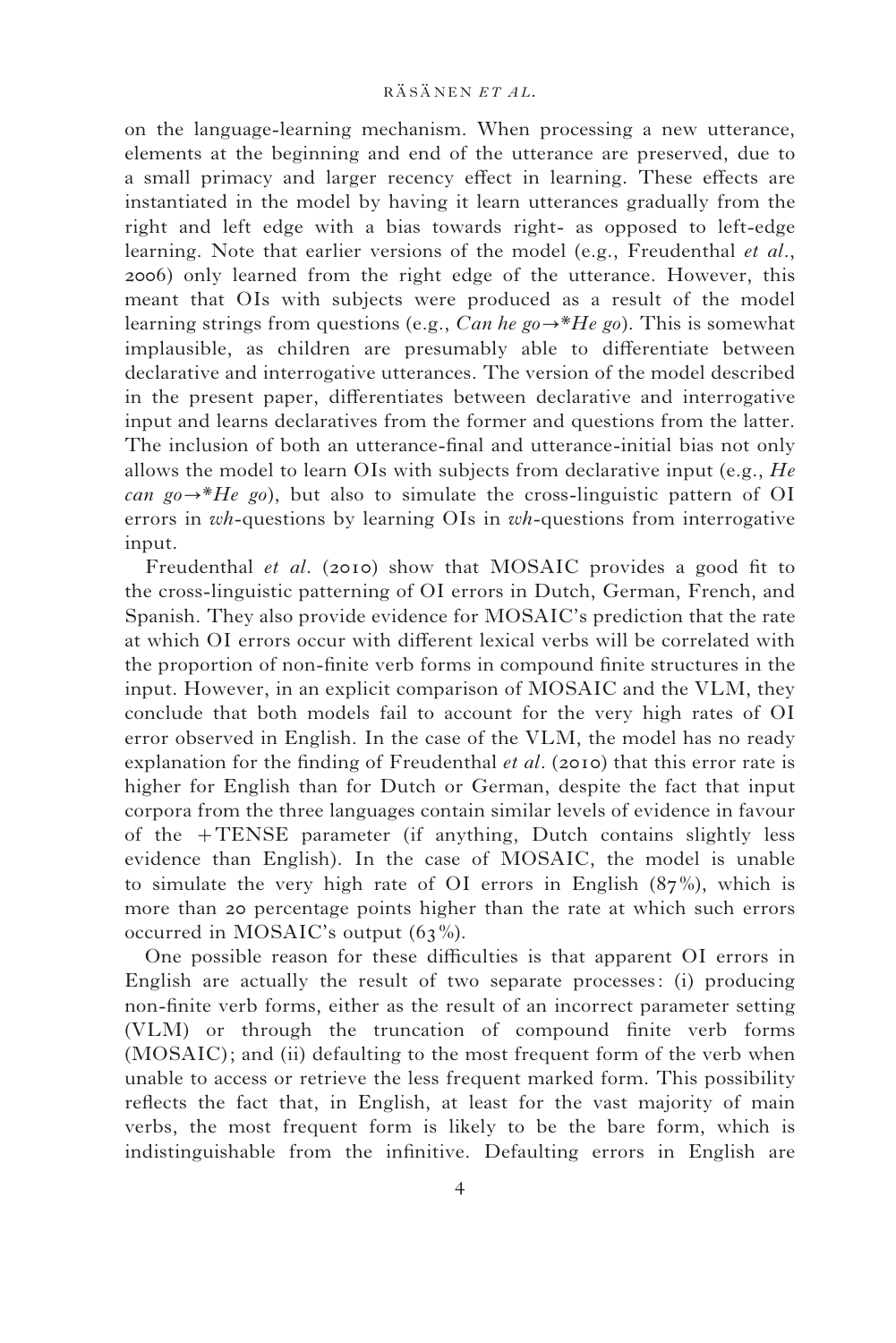on the language-learning mechanism. When processing a new utterance, elements at the beginning and end of the utterance are preserved, due to a small primacy and larger recency effect in learning. These effects are instantiated in the model by having it learn utterances gradually from the right and left edge with a bias towards right- as opposed to left-edge learning. Note that earlier versions of the model (e.g., Freudenthal et al., 2006) only learned from the right edge of the utterance. However, this meant that OIs with subjects were produced as a result of the model learning strings from questions (e.g., *Can he go* $\rightarrow$ \**He go*). This is somewhat implausible, as children are presumably able to differentiate between declarative and interrogative utterances. The version of the model described in the present paper, differentiates between declarative and interrogative input and learns declaratives from the former and questions from the latter. The inclusion of both an utterance-final and utterance-initial bias not only allows the model to learn OIs with subjects from declarative input (e.g.,  $He$ can go $\rightarrow$ \*He go), but also to simulate the cross-linguistic pattern of OI errors in wh-questions by learning OIs in wh-questions from interrogative input.

Freudenthal et al. (2010) show that MOSAIC provides a good fit to the cross-linguistic patterning of OI errors in Dutch, German, French, and Spanish. They also provide evidence for MOSAIC's prediction that the rate at which OI errors occur with different lexical verbs will be correlated with the proportion of non-finite verb forms in compound finite structures in the input. However, in an explicit comparison of MOSAIC and the VLM, they conclude that both models fail to account for the very high rates of OI error observed in English. In the case of the VLM, the model has no ready explanation for the finding of Freudenthal *et al.* (2010) that this error rate is higher for English than for Dutch or German, despite the fact that input corpora from the three languages contain similar levels of evidence in favour of the +TENSE parameter (if anything, Dutch contains slightly less evidence than English). In the case of MOSAIC, the model is unable to simulate the very high rate of OI errors in English  $(87\%)$ , which is more than 20 percentage points higher than the rate at which such errors occurred in MOSAIC's output  $(63\%)$ .

One possible reason for these difficulties is that apparent OI errors in English are actually the result of two separate processes: (i) producing non-finite verb forms, either as the result of an incorrect parameter setting (VLM) or through the truncation of compound finite verb forms (MOSAIC); and (ii) defaulting to the most frequent form of the verb when unable to access or retrieve the less frequent marked form. This possibility reflects the fact that, in English, at least for the vast majority of main verbs, the most frequent form is likely to be the bare form, which is indistinguishable from the infinitive. Defaulting errors in English are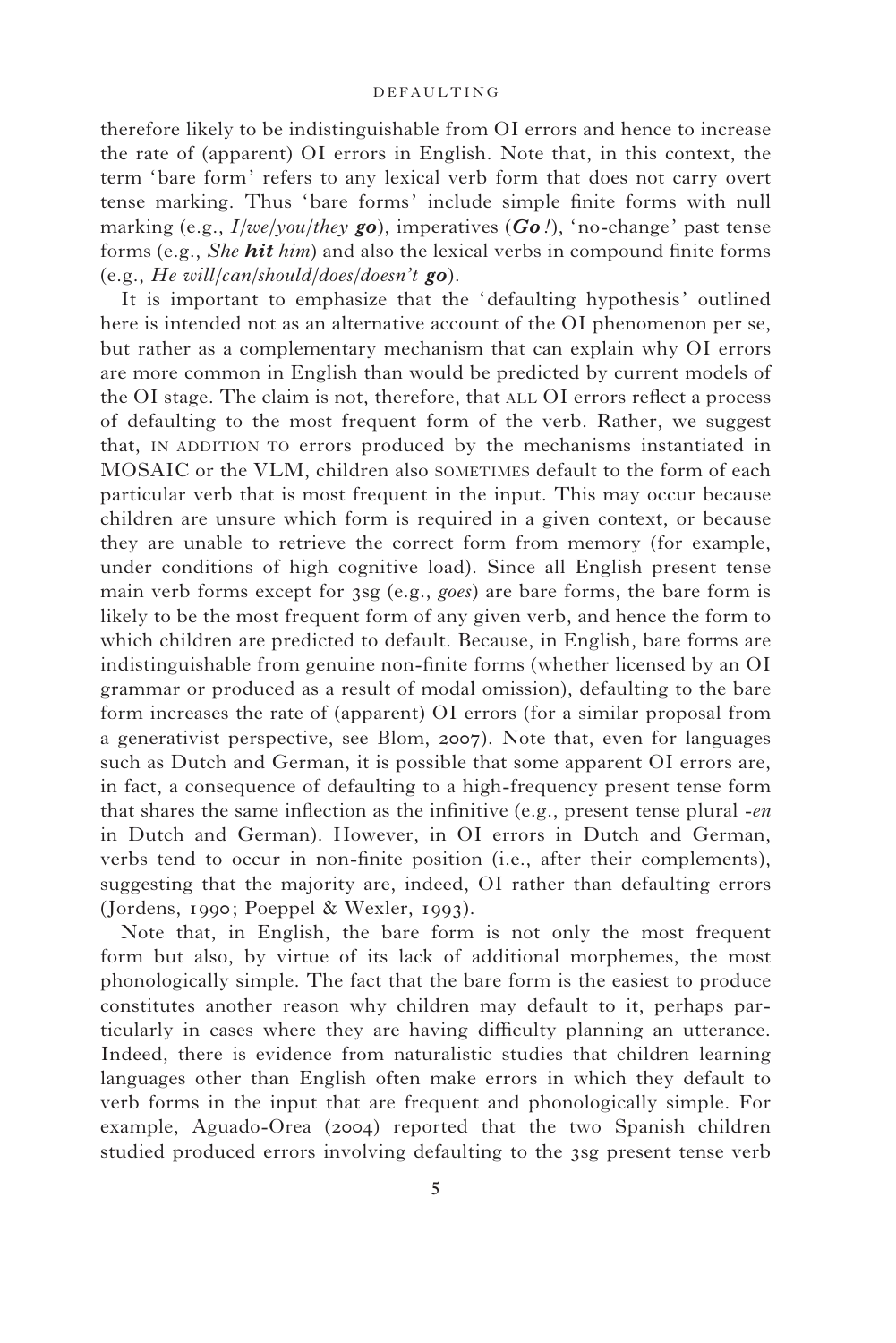therefore likely to be indistinguishable from OI errors and hence to increase the rate of (apparent) OI errors in English. Note that, in this context, the term 'bare form' refers to any lexical verb form that does not carry overt tense marking. Thus 'bare forms' include simple finite forms with null marking (e.g.,  $I/we/you/they$  go), imperatives  $(Go!)$ , 'no-change' past tense forms (e.g., *She hit him*) and also the lexical verbs in compound finite forms (e.g., He will/can/should/does/doesn't  $go$ ).

It is important to emphasize that the 'defaulting hypothesis' outlined here is intended not as an alternative account of the OI phenomenon per se, but rather as a complementary mechanism that can explain why OI errors are more common in English than would be predicted by current models of the OI stage. The claim is not, therefore, that ALL OI errors reflect a process of defaulting to the most frequent form of the verb. Rather, we suggest that, IN ADDITION TO errors produced by the mechanisms instantiated in MOSAIC or the VLM, children also SOMETIMES default to the form of each particular verb that is most frequent in the input. This may occur because children are unsure which form is required in a given context, or because they are unable to retrieve the correct form from memory (for example, under conditions of high cognitive load). Since all English present tense main verb forms except for 3sg (e.g., goes) are bare forms, the bare form is likely to be the most frequent form of any given verb, and hence the form to which children are predicted to default. Because, in English, bare forms are indistinguishable from genuine non-finite forms (whether licensed by an OI grammar or produced as a result of modal omission), defaulting to the bare form increases the rate of (apparent) OI errors (for a similar proposal from a generativist perspective, see Blom, 2007). Note that, even for languages such as Dutch and German, it is possible that some apparent OI errors are, in fact, a consequence of defaulting to a high-frequency present tense form that shares the same inflection as the infinitive (e.g., present tense plural -*en* in Dutch and German). However, in OI errors in Dutch and German, verbs tend to occur in non-finite position (i.e., after their complements), suggesting that the majority are, indeed, OI rather than defaulting errors (Jordens, 1990; Poeppel & Wexler, 1993).

Note that, in English, the bare form is not only the most frequent form but also, by virtue of its lack of additional morphemes, the most phonologically simple. The fact that the bare form is the easiest to produce constitutes another reason why children may default to it, perhaps particularly in cases where they are having difficulty planning an utterance. Indeed, there is evidence from naturalistic studies that children learning languages other than English often make errors in which they default to verb forms in the input that are frequent and phonologically simple. For example, Aguado-Orea (2004) reported that the two Spanish children studied produced errors involving defaulting to the 3sg present tense verb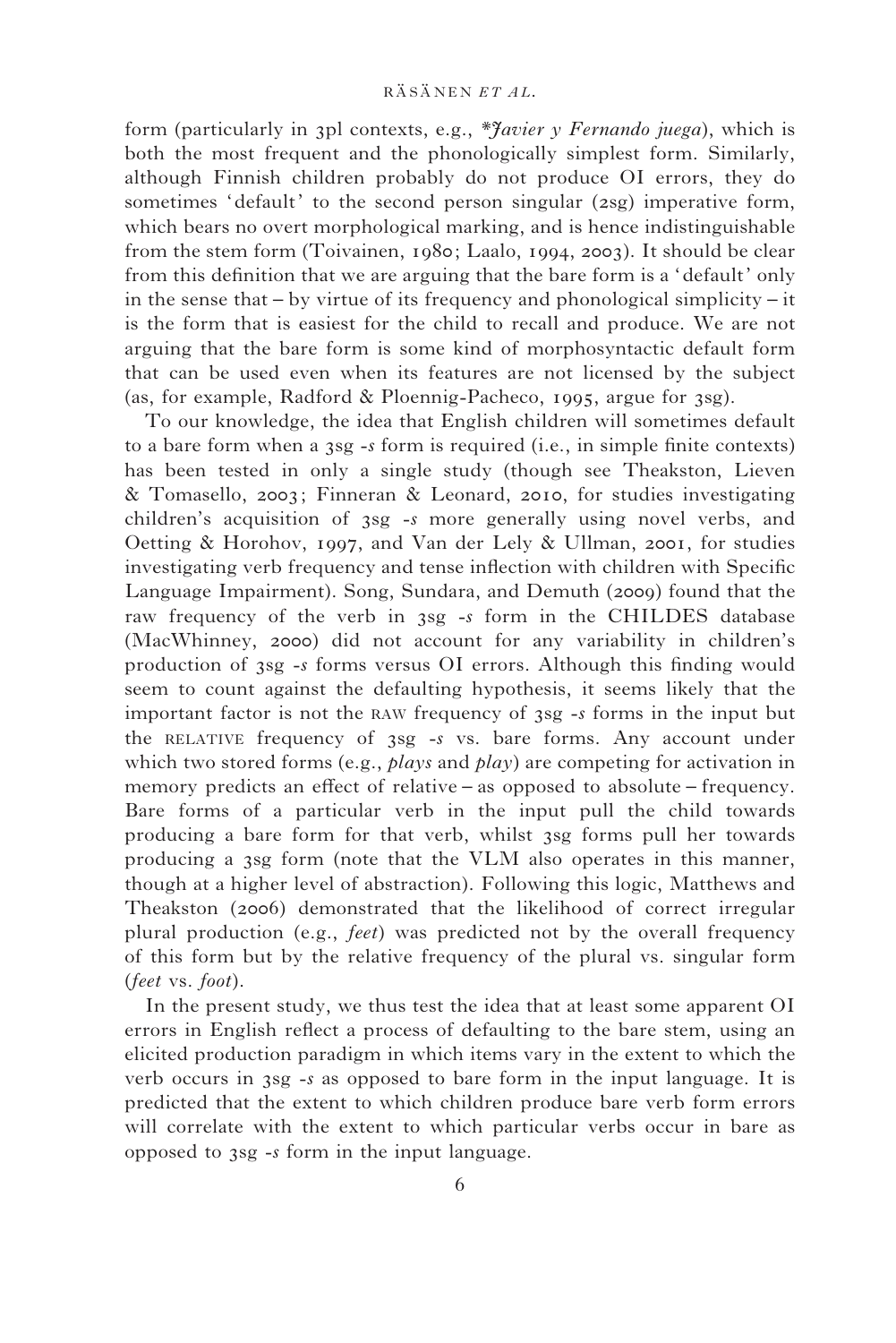form (particularly in 3pl contexts, e.g.,  $*$ *favier y Fernando juega*), which is both the most frequent and the phonologically simplest form. Similarly, although Finnish children probably do not produce OI errors, they do sometimes 'default' to the second person singular (2sg) imperative form, which bears no overt morphological marking, and is hence indistinguishable from the stem form (Toivainen, 1980; Laalo, 1994, 2003). It should be clear from this definition that we are arguing that the bare form is a 'default' only in the sense that – by virtue of its frequency and phonological simplicity – it is the form that is easiest for the child to recall and produce. We are not arguing that the bare form is some kind of morphosyntactic default form that can be used even when its features are not licensed by the subject (as, for example, Radford & Ploennig-Pacheco, 1995, argue for 3sg).

To our knowledge, the idea that English children will sometimes default to a bare form when a 3sg -s form is required (i.e., in simple finite contexts) has been tested in only a single study (though see Theakston, Lieven & Tomasello, 2003; Finneran & Leonard, 2010, for studies investigating children's acquisition of 3sg -s more generally using novel verbs, and Oetting & Horohov, 1997, and Van der Lely & Ullman, 2001, for studies investigating verb frequency and tense inflection with children with Specific Language Impairment). Song, Sundara, and Demuth (2009) found that the raw frequency of the verb in 3sg -s form in the CHILDES database (MacWhinney, 2000) did not account for any variability in children's production of 3sg -s forms versus OI errors. Although this finding would seem to count against the defaulting hypothesis, it seems likely that the important factor is not the RAW frequency of  $3sg -s$  forms in the input but the RELATIVE frequency of 3sg -s vs. bare forms. Any account under which two stored forms (e.g., *plays* and *play*) are competing for activation in memory predicts an effect of relative – as opposed to absolute – frequency. Bare forms of a particular verb in the input pull the child towards producing a bare form for that verb, whilst 3sg forms pull her towards producing a 3sg form (note that the VLM also operates in this manner, though at a higher level of abstraction). Following this logic, Matthews and Theakston (2006) demonstrated that the likelihood of correct irregular plural production (e.g., feet) was predicted not by the overall frequency of this form but by the relative frequency of the plural vs. singular form (feet vs. foot).

In the present study, we thus test the idea that at least some apparent OI errors in English reflect a process of defaulting to the bare stem, using an elicited production paradigm in which items vary in the extent to which the verb occurs in 3sg -s as opposed to bare form in the input language. It is predicted that the extent to which children produce bare verb form errors will correlate with the extent to which particular verbs occur in bare as opposed to 3sg -s form in the input language.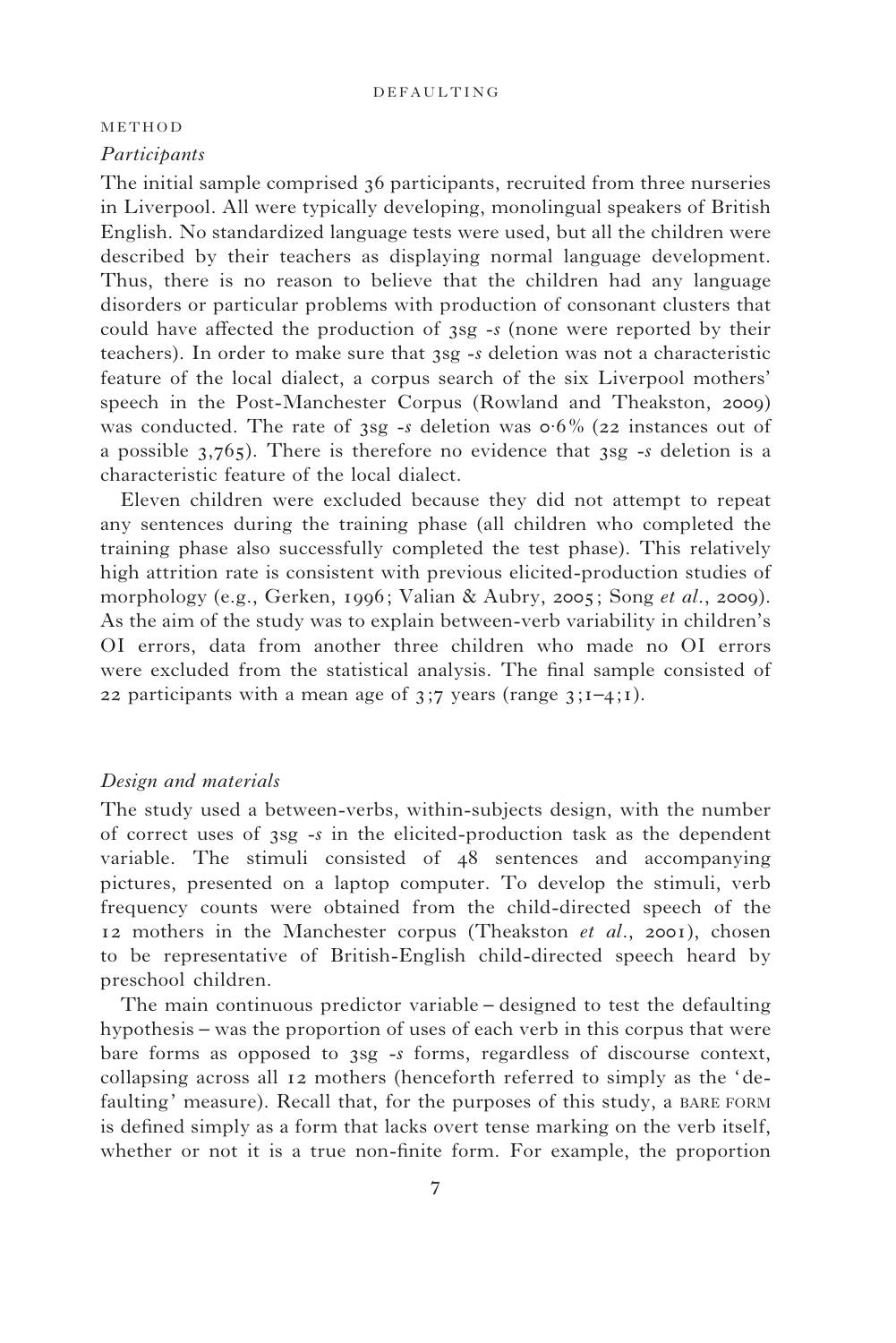#### METHOD

### Participants

The initial sample comprised 36 participants, recruited from three nurseries in Liverpool. All were typically developing, monolingual speakers of British English. No standardized language tests were used, but all the children were described by their teachers as displaying normal language development. Thus, there is no reason to believe that the children had any language disorders or particular problems with production of consonant clusters that could have affected the production of 3sg -s (none were reported by their teachers). In order to make sure that 3sg -s deletion was not a characteristic feature of the local dialect, a corpus search of the six Liverpool mothers' speech in the Post-Manchester Corpus (Rowland and Theakston, 2009) was conducted. The rate of 3sg -s deletion was  $\sigma$ -6% (22 instances out of a possible  $3,765$ ). There is therefore no evidence that  $3s^2$  -s deletion is a characteristic feature of the local dialect.

Eleven children were excluded because they did not attempt to repeat any sentences during the training phase (all children who completed the training phase also successfully completed the test phase). This relatively high attrition rate is consistent with previous elicited-production studies of morphology (e.g., Gerken, 1996; Valian & Aubry, 2005; Song et al., 2009). As the aim of the study was to explain between-verb variability in children's OI errors, data from another three children who made no OI errors were excluded from the statistical analysis. The final sample consisted of 22 participants with a mean age of  $3;7$  years (range  $3;1-4;1$ ).

### Design and materials

The study used a between-verbs, within-subjects design, with the number of correct uses of 3sg -s in the elicited-production task as the dependent variable. The stimuli consisted of 48 sentences and accompanying pictures, presented on a laptop computer. To develop the stimuli, verb frequency counts were obtained from the child-directed speech of the 12 mothers in the Manchester corpus (Theakston et al., 2001), chosen to be representative of British-English child-directed speech heard by preschool children.

The main continuous predictor variable – designed to test the defaulting hypothesis – was the proportion of uses of each verb in this corpus that were bare forms as opposed to 3sg -s forms, regardless of discourse context, collapsing across all 12 mothers (henceforth referred to simply as the 'defaulting' measure). Recall that, for the purposes of this study, a BARE FORM is defined simply as a form that lacks overt tense marking on the verb itself, whether or not it is a true non-finite form. For example, the proportion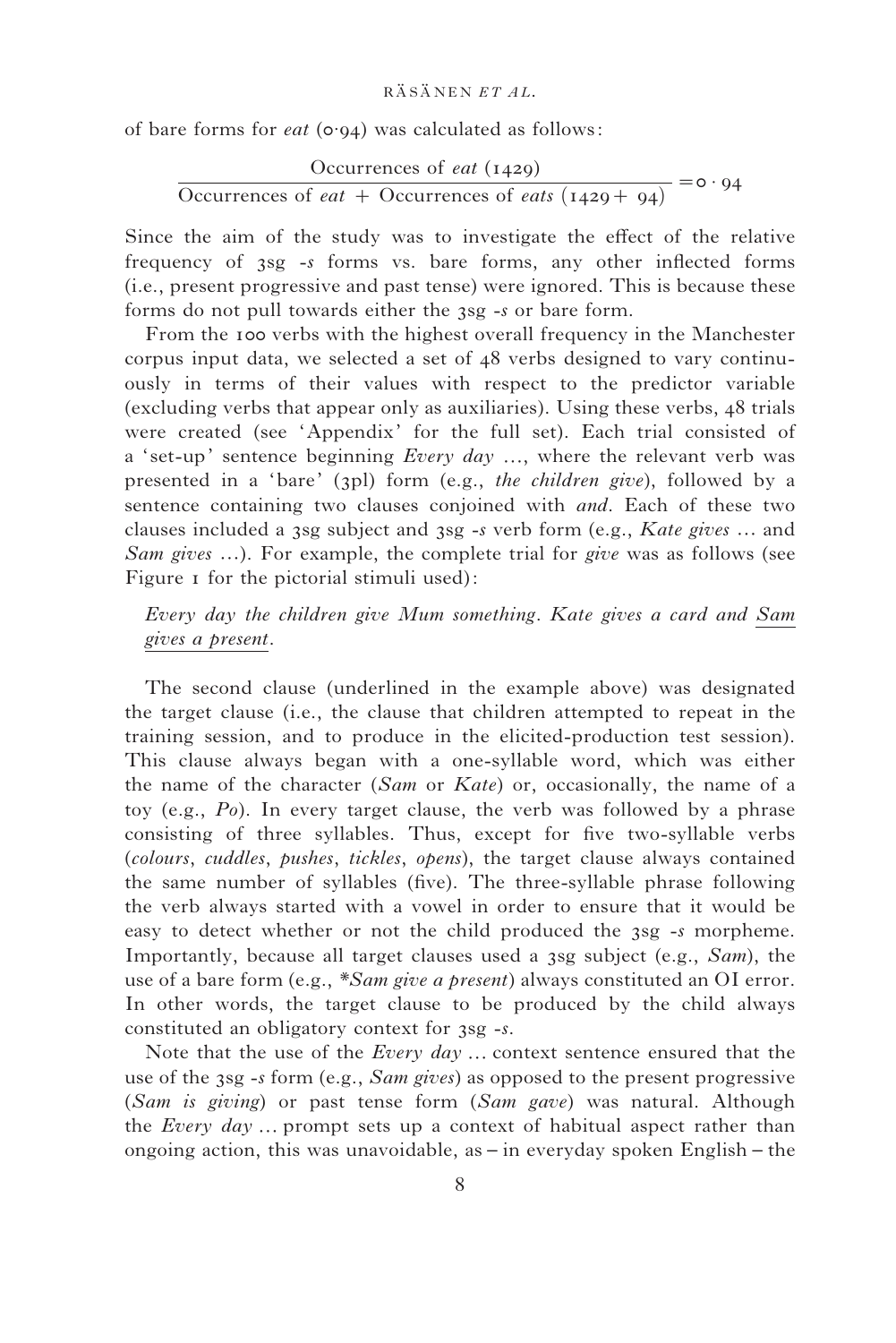#### $R$  $A$  $S$  $A$  $N$  $E$  $N$  $E$  $T$  $A$  $L$ .

of bare forms for *eat* ( $o·94$ ) was calculated as follows:

Occurrences of eat (1429)  
Occurrences of *eat* + Occurrences of *eats* (1429 + 94) = 
$$
\circ
$$
 · 94

Since the aim of the study was to investigate the effect of the relative frequency of 3sg -s forms vs. bare forms, any other inflected forms (i.e., present progressive and past tense) were ignored. This is because these forms do not pull towards either the 3sg -s or bare form.

From the 100 verbs with the highest overall frequency in the Manchester corpus input data, we selected a set of 48 verbs designed to vary continuously in terms of their values with respect to the predictor variable (excluding verbs that appear only as auxiliaries). Using these verbs, 48 trials were created (see 'Appendix' for the full set). Each trial consisted of a 'set-up' sentence beginning Every day  $\ldots$ , where the relevant verb was presented in a 'bare' (3pl) form (e.g., the children give), followed by a sentence containing two clauses conjoined with *and*. Each of these two clauses included a 3sg subject and 3sg -s verb form (e.g., Kate gives ... and Sam gives ...). For example, the complete trial for give was as follows (see Figure 1 for the pictorial stimuli used):

## Every day the children give Mum something. Kate gives a card and Sam gives a present.

The second clause (underlined in the example above) was designated the target clause (i.e., the clause that children attempted to repeat in the training session, and to produce in the elicited-production test session). This clause always began with a one-syllable word, which was either the name of the character (Sam or Kate) or, occasionally, the name of a toy (e.g., Po). In every target clause, the verb was followed by a phrase consisting of three syllables. Thus, except for five two-syllable verbs (colours, cuddles, pushes, tickles, opens), the target clause always contained the same number of syllables (five). The three-syllable phrase following the verb always started with a vowel in order to ensure that it would be easy to detect whether or not the child produced the 3sg -s morpheme. Importantly, because all target clauses used a 3sg subject (e.g.,  $Sam$ ), the use of a bare form (e.g., \*Sam give a present) always constituted an OI error. In other words, the target clause to be produced by the child always constituted an obligatory context for 3sg -s.

Note that the use of the Every day  $\ldots$  context sentence ensured that the use of the 3sg -s form (e.g., Sam gives) as opposed to the present progressive (Sam is giving) or past tense form (Sam gave) was natural. Although the Every day  $\ldots$  prompt sets up a context of habitual aspect rather than ongoing action, this was unavoidable, as  $-\text{ in}$  everyday spoken English  $-\text{ the}$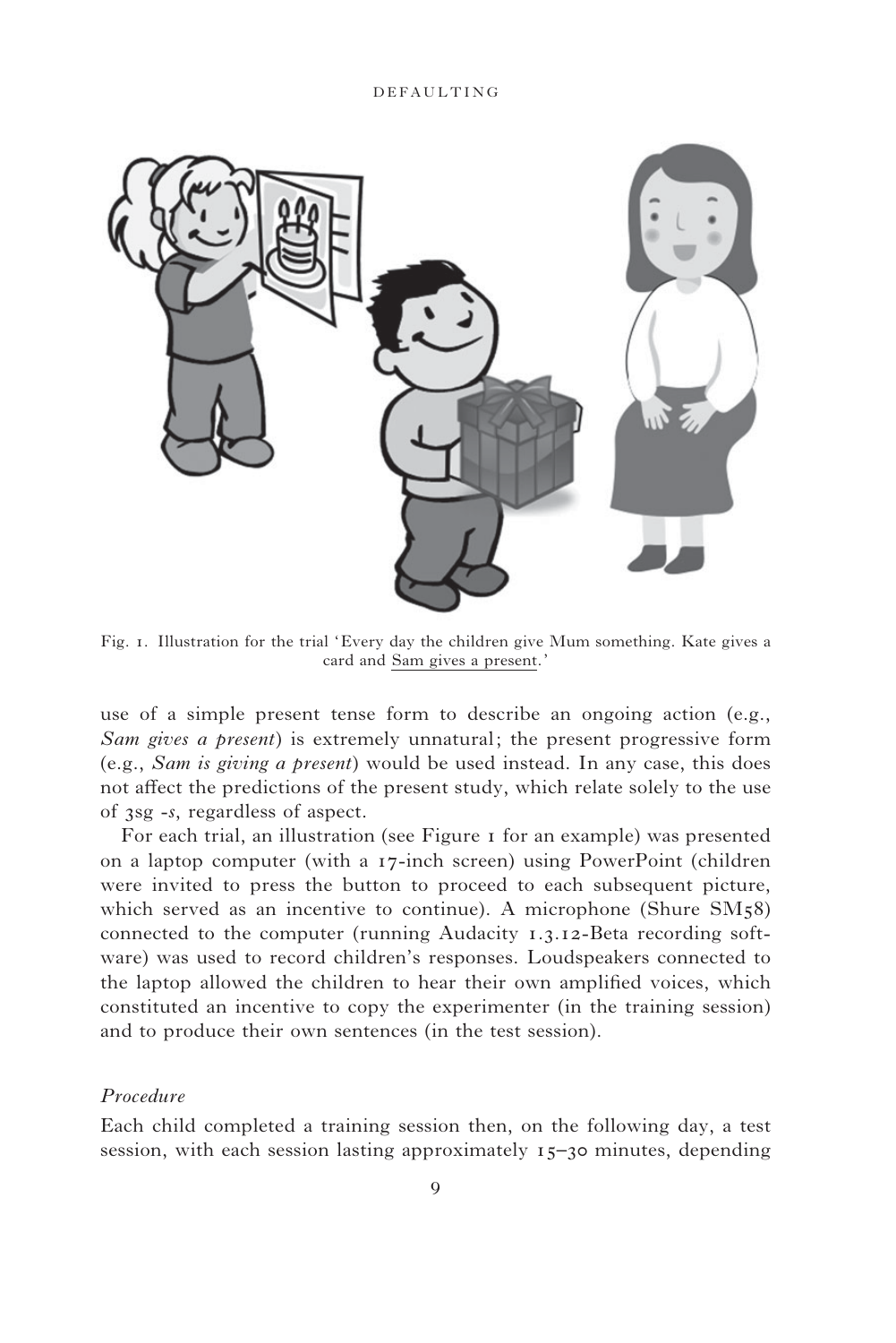

Fig. 1. Illustration for the trial 'Every day the children give Mum something. Kate gives a card and Sam gives a present.'

use of a simple present tense form to describe an ongoing action (e.g., Sam gives a present) is extremely unnatural; the present progressive form (e.g., Sam is giving a present) would be used instead. In any case, this does not affect the predictions of the present study, which relate solely to the use of 3sg -s, regardless of aspect.

For each trial, an illustration (see Figure 1 for an example) was presented on a laptop computer (with a 17-inch screen) using PowerPoint (children were invited to press the button to proceed to each subsequent picture, which served as an incentive to continue). A microphone (Shure SM58) connected to the computer (running Audacity 1.3.12-Beta recording software) was used to record children's responses. Loudspeakers connected to the laptop allowed the children to hear their own amplified voices, which constituted an incentive to copy the experimenter (in the training session) and to produce their own sentences (in the test session).

## Procedure

Each child completed a training session then, on the following day, a test session, with each session lasting approximately 15–30 minutes, depending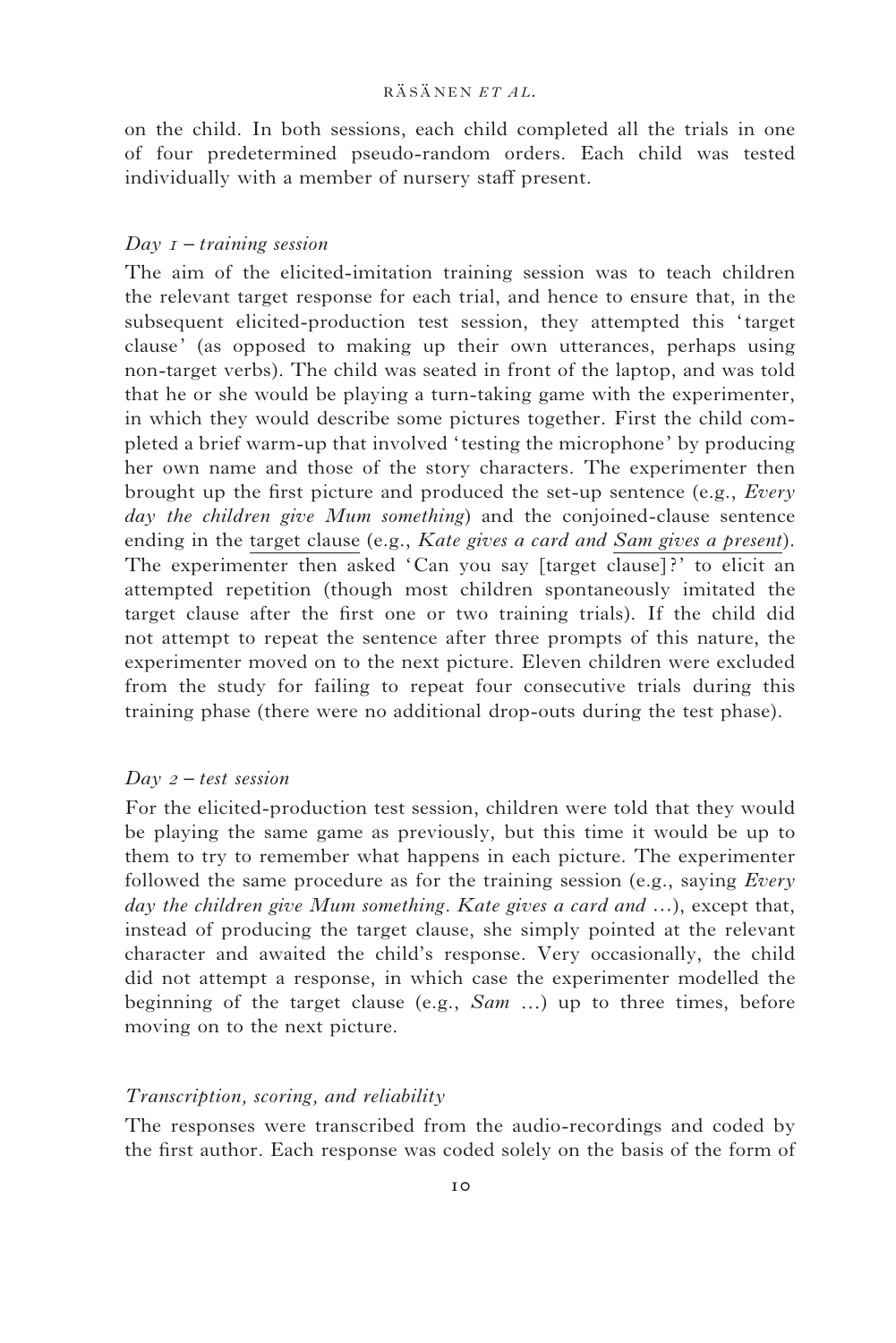on the child. In both sessions, each child completed all the trials in one of four predetermined pseudo-random orders. Each child was tested individually with a member of nursery staff present.

## $Day I - training session$

The aim of the elicited-imitation training session was to teach children the relevant target response for each trial, and hence to ensure that, in the subsequent elicited-production test session, they attempted this ' target clause' (as opposed to making up their own utterances, perhaps using non-target verbs). The child was seated in front of the laptop, and was told that he or she would be playing a turn-taking game with the experimenter, in which they would describe some pictures together. First the child completed a brief warm-up that involved ' testing the microphone' by producing her own name and those of the story characters. The experimenter then brought up the first picture and produced the set-up sentence (e.g., Every day the children give Mum something) and the conjoined-clause sentence ending in the target clause (e.g., Kate gives a card and Sam gives a present). The experimenter then asked 'Can you say [target clause]?' to elicit an attempted repetition (though most children spontaneously imitated the target clause after the first one or two training trials). If the child did not attempt to repeat the sentence after three prompts of this nature, the experimenter moved on to the next picture. Eleven children were excluded from the study for failing to repeat four consecutive trials during this training phase (there were no additional drop-outs during the test phase).

## $Day 2-test session$

For the elicited-production test session, children were told that they would be playing the same game as previously, but this time it would be up to them to try to remember what happens in each picture. The experimenter followed the same procedure as for the training session (e.g., saying Every day the children give Mum something. Kate gives a card and  $\ldots$ ), except that, instead of producing the target clause, she simply pointed at the relevant character and awaited the child's response. Very occasionally, the child did not attempt a response, in which case the experimenter modelled the beginning of the target clause (e.g.,  $Sam$  ...) up to three times, before moving on to the next picture.

## Transcription, scoring, and reliability

The responses were transcribed from the audio-recordings and coded by the first author. Each response was coded solely on the basis of the form of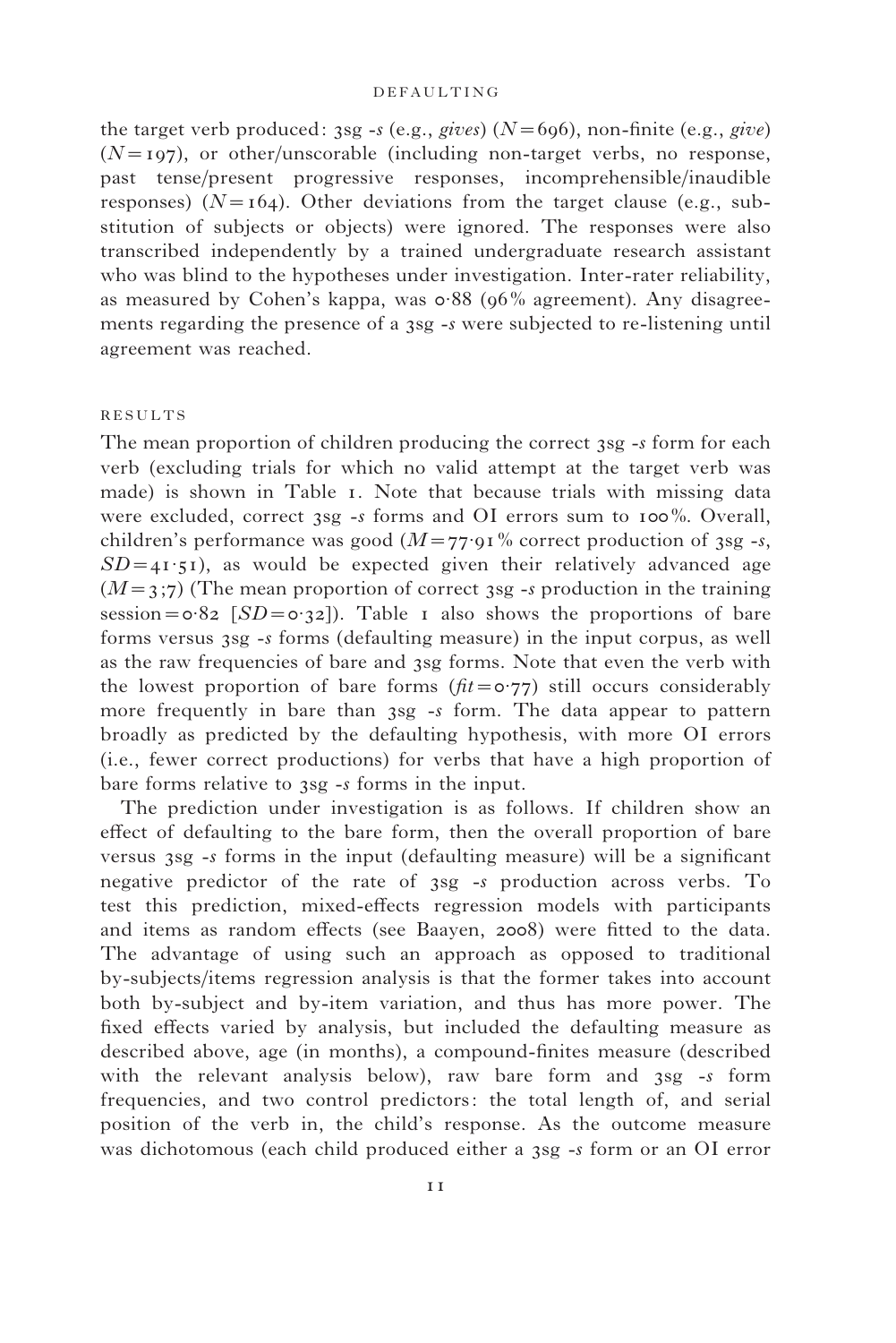the target verb produced: 3sg -s (e.g., gives)  $(N=696)$ , non-finite (e.g., give)  $(N=197)$ , or other/unscorable (including non-target verbs, no response, past tense/present progressive responses, incomprehensible/inaudible responses)  $(N=164)$ . Other deviations from the target clause (e.g., substitution of subjects or objects) were ignored. The responses were also transcribed independently by a trained undergraduate research assistant who was blind to the hypotheses under investigation. Inter-rater reliability, as measured by Cohen's kappa, was  $\sigma$ 88 (96% agreement). Any disagreements regarding the presence of a 3sg -s were subjected to re-listening until agreement was reached.

### RESULTS

The mean proportion of children producing the correct 3sg -s form for each verb (excluding trials for which no valid attempt at the target verb was made) is shown in Table 1. Note that because trials with missing data were excluded, correct 3sg -s forms and OI errors sum to 100%. Overall, children's performance was good  $(M=77.91\%$  correct production of 3sg -s,  $SD=41.51$ , as would be expected given their relatively advanced age  $(M=3;7)$  (The mean proportion of correct 3sg -s production in the training session= $\circ 82$  [SD= $\circ 32$ ]). Table 1 also shows the proportions of bare forms versus 3sg -s forms (defaulting measure) in the input corpus, as well as the raw frequencies of bare and 3sg forms. Note that even the verb with the lowest proportion of bare forms  $(\hat{t}t = \varphi \cdot 77)$  still occurs considerably more frequently in bare than 3sg -s form. The data appear to pattern broadly as predicted by the defaulting hypothesis, with more OI errors (i.e., fewer correct productions) for verbs that have a high proportion of bare forms relative to 3sg -s forms in the input.

The prediction under investigation is as follows. If children show an effect of defaulting to the bare form, then the overall proportion of bare versus 3sg -s forms in the input (defaulting measure) will be a significant negative predictor of the rate of 3sg -s production across verbs. To test this prediction, mixed-effects regression models with participants and items as random effects (see Baayen, 2008) were fitted to the data. The advantage of using such an approach as opposed to traditional by-subjects/items regression analysis is that the former takes into account both by-subject and by-item variation, and thus has more power. The fixed effects varied by analysis, but included the defaulting measure as described above, age (in months), a compound-finites measure (described with the relevant analysis below), raw bare form and 3sg -s form frequencies, and two control predictors: the total length of, and serial position of the verb in, the child's response. As the outcome measure was dichotomous (each child produced either a 3sg -s form or an OI error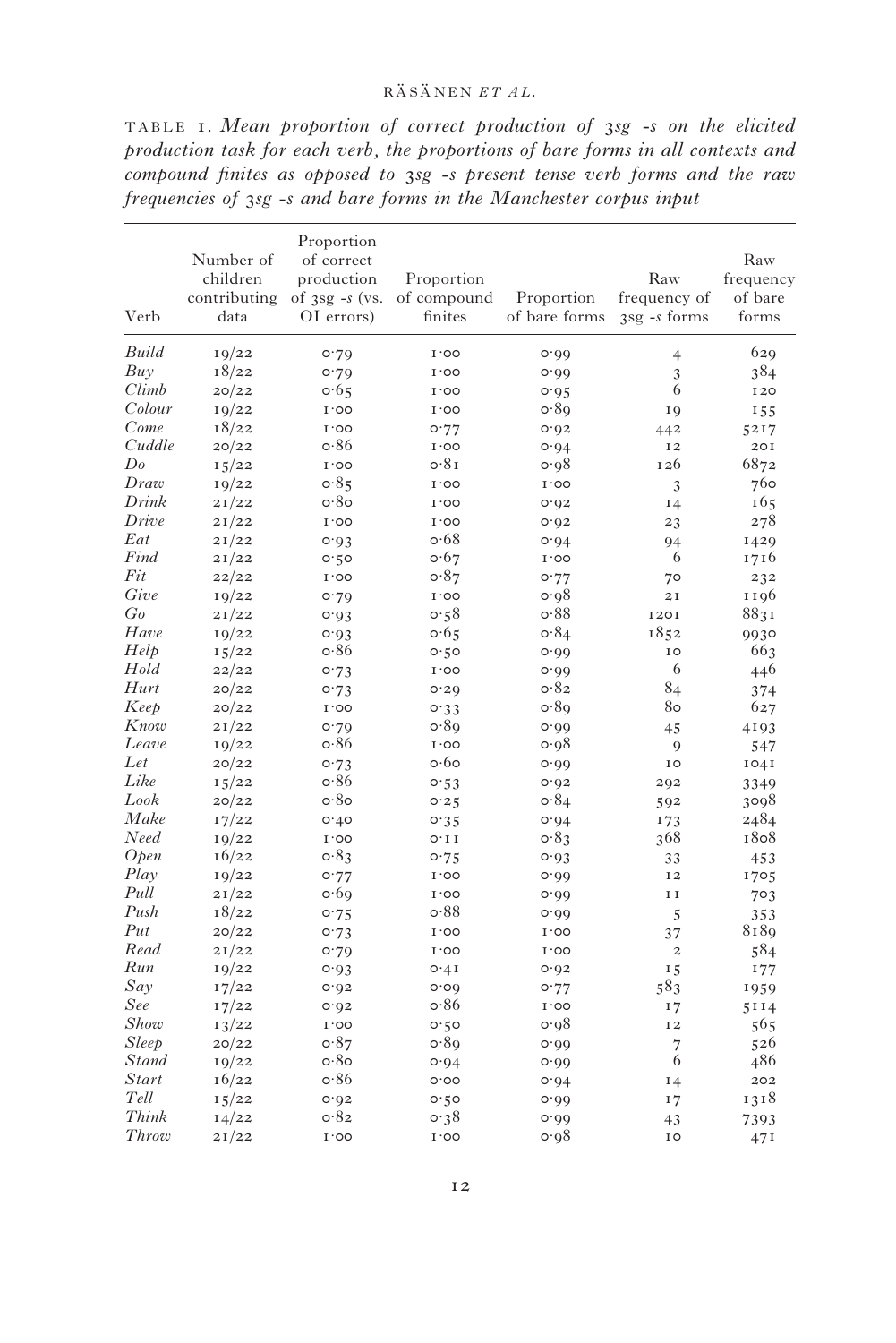## RÄSÄNEN ET AL.

TABLE 1. Mean proportion of correct production of 3sg -s on the elicited production task for each verb, the proportions of bare forms in all contexts and compound finites as opposed to 3sg -s present tense verb forms and the raw frequencies of 3sg -s and bare forms in the Manchester corpus input

| Verb         | Number of<br>children<br>contributing<br>data | Proportion<br>of correct<br>production<br>of $3sg - s$ (vs.<br>OI errors) | Proportion<br>of compound<br>finites | Proportion<br>of bare forms | Raw<br>frequency of<br>$3sg - s$ forms | Raw<br>frequency<br>of bare<br>forms |
|--------------|-----------------------------------------------|---------------------------------------------------------------------------|--------------------------------------|-----------------------------|----------------------------------------|--------------------------------------|
| Build        | 19/22                                         | 0.79                                                                      | 1.00                                 | 0.00                        | $\overline{4}$                         | 629                                  |
| Buv          | 18/22                                         | 0.79                                                                      | 1.00                                 | 0.00                        | 3                                      | 384                                  |
| Climb        | 20/22                                         | 0.65                                                                      | I.00                                 | 0.95                        | 6                                      | 120                                  |
| Colour       | 19/22                                         | 1.00                                                                      | 1.00                                 | o.89                        | IQ                                     | 155                                  |
| Come         | 18/22                                         | 1.00                                                                      | 0.77                                 | 0.05                        | 442                                    | 5217                                 |
| Cuddle       | 20/22                                         | $\circ 86$                                                                | 1.00                                 | 0.04                        | 12                                     | 201                                  |
| Do           | 15/22                                         | 1.00                                                                      | 0.81                                 | $\sigma$ .08                | 126                                    | 6872                                 |
| Draw         | 19/22                                         | 0.85                                                                      | 1.00                                 | $1.00$                      | 3                                      | 760                                  |
| Drink        | 21/22                                         | o.8o                                                                      | 1.00                                 | 0.02                        | 14                                     | 165                                  |
| Drive        | 21/22                                         | 1.00                                                                      | 1.00                                 | 0.02                        | 23                                     | 278                                  |
| Eat          | 21/22                                         | 0.93                                                                      | o.68                                 | 0.94                        | 94                                     | 1429                                 |
| Find         | 21/22                                         | 0.50                                                                      | o.67                                 | 1.00                        | 6                                      | 1716                                 |
| Fit          | 22/22                                         | 1.00                                                                      | 0.87                                 | 0.77                        | 70                                     | 232                                  |
| Give         | 19/22                                         | 0.79                                                                      | 1.00                                 | 0.08                        | 2I                                     | 1196                                 |
| $G_{0}$      | 21/22                                         | 0.93                                                                      | 0.58                                 | o.88                        | 1201                                   | 8831                                 |
| Have         | 10/22                                         | 0.03                                                                      | 0.65                                 | $\circ 8_4$                 | 1852                                   | 9930                                 |
| Help         | 15/22                                         | $\circ 86$                                                                | 0.50                                 | 0.00                        | I O                                    | 663                                  |
| Hold         | 22/22                                         | 0.73                                                                      | 1.00                                 | 0.00                        | 6                                      | 446                                  |
| Hurt         | 20/22                                         | 0.73                                                                      | 0.50                                 | o.82                        | 84                                     | 374                                  |
| Keep         | 20/22                                         | 1.00                                                                      | 0.33                                 | o.8q                        | 80                                     | 627                                  |
| Know         | 21/22                                         | 0.79                                                                      | $\circ$ 89                           | 0.00                        | 45                                     | 4193                                 |
| Leave        | 19/22                                         | $\circ 86$                                                                | I O                                  | $\circ$ . $98$              | 9                                      | 547                                  |
| Let          | 20/22                                         | 0.73                                                                      | o.60                                 | 0.00                        | IO                                     | 104I                                 |
| Like         | 15/22                                         | $\circ$ 86                                                                | 0.53                                 | O Q 2                       | 292                                    | 3349                                 |
| Look         | 20/22                                         | o.8o                                                                      | 0.25                                 | $\circ 8_4$                 | 592                                    | 3098                                 |
| Make         | 17/22                                         | 0.10                                                                      | 0.35                                 | 0.01                        | 173                                    | 2484                                 |
| Need         | 19/22                                         | 1.00                                                                      | O.11                                 | $\circ$ 83                  | 368                                    | 1808                                 |
| Open         | 16/22                                         | 0.83                                                                      | 0.75                                 | 0.03                        | 33                                     | 453                                  |
| Plav         | 10/22                                         | 0.77                                                                      | 1.00                                 | 0.00                        | 12                                     | 1705                                 |
| Pull         | 21/22                                         | o.69                                                                      | 1.00                                 | 0.00                        | $\rm I\ I$                             | 703                                  |
| Push         | 18/22                                         | 0.75                                                                      | $\circ$ 88                           | 0.00                        | 5                                      | 353                                  |
| Put          | 20/22                                         | 0.73                                                                      | 1.00                                 | 1.00                        | 37                                     | 8189                                 |
| Read         | 21/22                                         | 0.79                                                                      | 1.00                                 | $1.00$                      | $\overline{a}$                         | 584                                  |
| Run          | 10/22                                         | 0.93                                                                      | $O \cdot 4I$                         | O Q 2                       | 15                                     | 177                                  |
| Sav          | 17/22                                         | O.02                                                                      | O O O                                | 0.77                        | 583                                    | 1959                                 |
| See          | 17/22                                         | 0.02                                                                      | $\circ 86$                           | $I \cdot OO$                | 17                                     | 5114                                 |
| Show         | 13/22                                         | I.00                                                                      | 0.50                                 | o·98                        | I <sub>2</sub>                         | 565                                  |
| Sleep        | 20/22                                         | $\circ$ 87                                                                | o.8q                                 | 0.00                        | $\overline{7}$                         | 526                                  |
| <b>Stand</b> | 19/22                                         | o.8o                                                                      | 0.04                                 | 0.00                        | 6                                      | 486                                  |
| <b>Start</b> | 16/22                                         | $\circ 86$                                                                | 0.00                                 | 0.01                        | 14                                     | 202                                  |
| Tell         | 15/22                                         | 0.02                                                                      | 0.50                                 | 0.00                        | 17                                     | 1318                                 |
| Think        | 14/22                                         | o.82                                                                      | 0.38                                 | 0.00                        | 43                                     | 7393                                 |
| Throw        | 21/22                                         | 1.00                                                                      | 1.00                                 | $\circ$ .08                 | I O                                    | 47I                                  |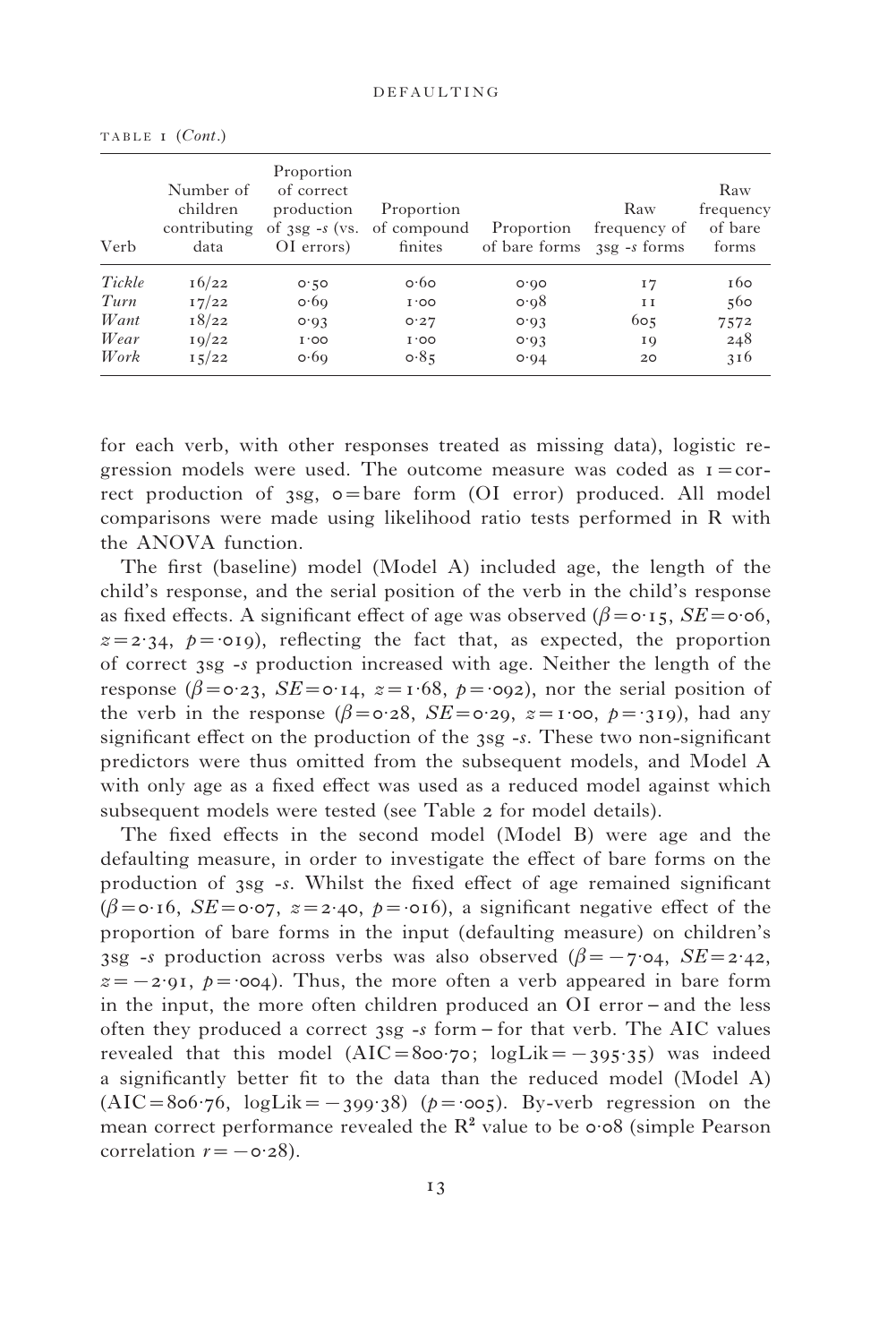| Verb   | Number of<br>children<br>data | Proportion<br>of correct<br>production<br>OI errors) | Proportion<br>contributing of $3sg -s$ (vs. of compound Proportion<br>finites | of bare forms 3sg -s forms | Raw<br>frequency of | Raw<br>frequency<br>of bare<br>forms |
|--------|-------------------------------|------------------------------------------------------|-------------------------------------------------------------------------------|----------------------------|---------------------|--------------------------------------|
| Tickle | 16/22                         | 0.50                                                 | o.60                                                                          | 0.00                       | 17                  | 160                                  |
| Turn   | 17/22                         | o·6q                                                 | 1.00                                                                          | $\circ$ . $98$             | 1 I                 | 560                                  |
| Want   | 18/22                         | O.03                                                 | 0.27                                                                          | 0.93                       | 605                 | 7572                                 |
| Wear   | 19/22                         | 1.00                                                 | 1.00                                                                          | O.03                       | 1 Q                 | 248                                  |
| Work   | 15/22                         | o·6q                                                 | 0.85                                                                          | O.04                       | 20                  | 316                                  |

| TABLE I $(Cont.)$ |  |  |  |
|-------------------|--|--|--|
|-------------------|--|--|--|

for each verb, with other responses treated as missing data), logistic regression models were used. The outcome measure was coded as  $i = cor$ rect production of 3sg, 0=bare form (OI error) produced. All model comparisons were made using likelihood ratio tests performed in R with the ANOVA function.

The first (baseline) model (Model A) included age, the length of the child's response, and the serial position of the verb in the child's response as fixed effects. A significant effect of age was observed  $(\beta = 0.15, SE = 0.06,$  $z=2.34$ ,  $p=\overline{019}$ , reflecting the fact that, as expected, the proportion of correct 3sg -s production increased with age. Neither the length of the response ( $\beta = \circ 23$ ,  $SE = \circ 14$ ,  $z = 1.68$ ,  $p = .092$ ), nor the serial position of the verb in the response  $(\beta = 0.28, SE = 0.29, z = 1.00, p = .319)$ , had any significant effect on the production of the 3sg -s. These two non-significant predictors were thus omitted from the subsequent models, and Model A with only age as a fixed effect was used as a reduced model against which subsequent models were tested (see Table 2 for model details).

The fixed effects in the second model (Model B) were age and the defaulting measure, in order to investigate the effect of bare forms on the production of 3sg -s. Whilst the fixed effect of age remained significant  $(\beta = \circ \circ \circ \circ S)$ ,  $z = 2.40$ ,  $p = \circ \circ \circ \circ S$ , a significant negative effect of the proportion of bare forms in the input (defaulting measure) on children's 3sg -s production across verbs was also observed  $(\beta = -7.04, \, SE = 2.42,$  $z=-2.91$ ,  $p=\infty$ 4). Thus, the more often a verb appeared in bare form in the input, the more often children produced an OI error – and the less often they produced a correct 3sg -s form – for that verb. The AIC values revealed that this model  $(AIC=800.70; logLik = -395.35)$  was indeed a significantly better fit to the data than the reduced model (Model A)  $(AIC=806.76, logLik=-399.38)$  (p=.005). By-verb regression on the mean correct performance revealed the  $R^2$  value to be  $\circ \circ 8$  (simple Pearson correlation  $r=-\text{o-}28$ ).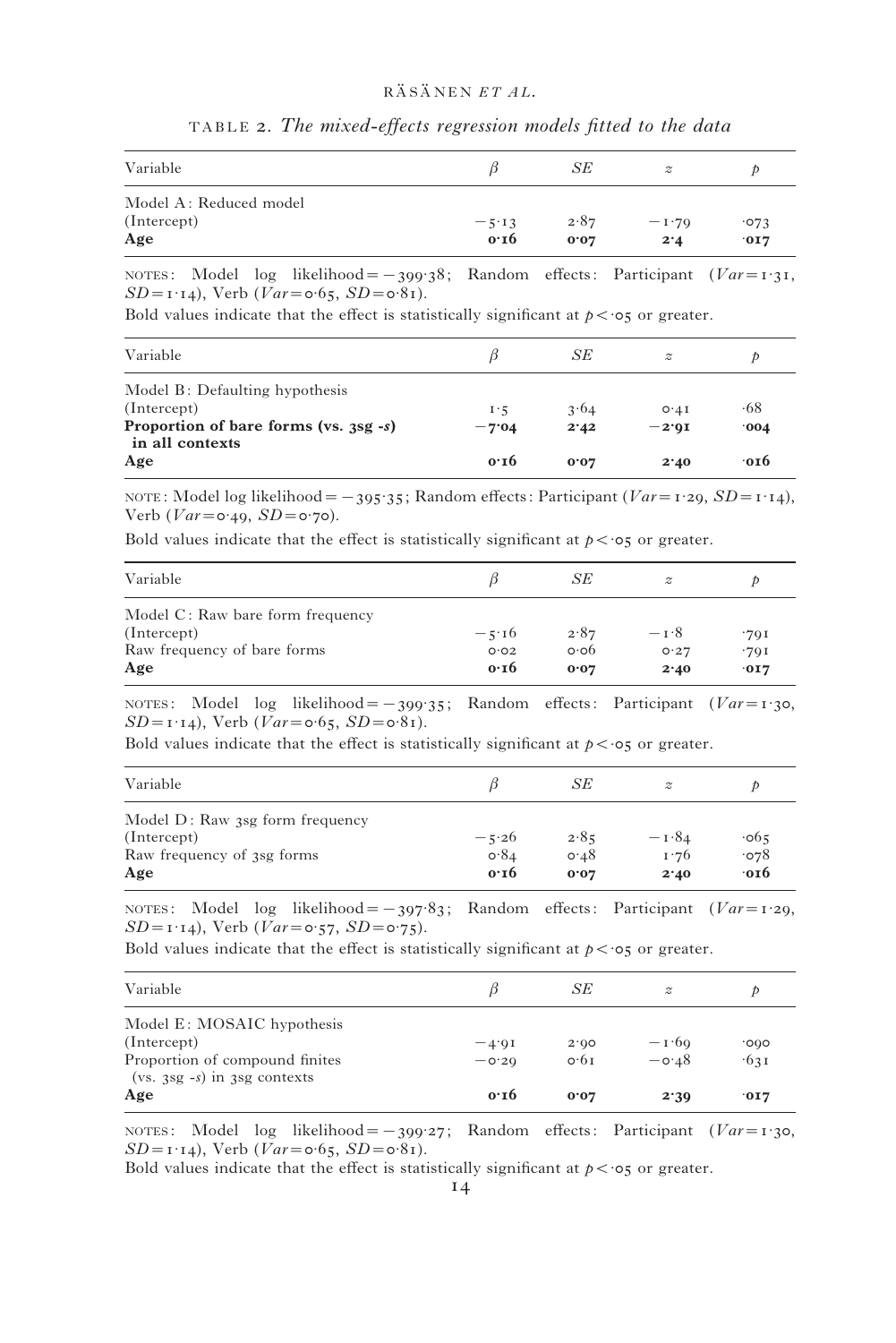## $R$  $A$ s $A$  NEN  $ET$   $AI$ .

| Variable                              |         | SЕ   | $\boldsymbol{z}$ |      |
|---------------------------------------|---------|------|------------------|------|
| Model A: Reduced model<br>(Intercept) | $-5.13$ | 2.87 | $-1.79$          | .073 |
| Age                                   | 0.16    | 0.07 | 2.4              | 017  |

TABLE 2. The mixed-effects regression models fitted to the data

NOTES: Model log likelihood=-399.38; Random effects: Participant ( $Var=1.31$ ,  $SD = I \cdot I4$ ), Verb ( $Var = o \cdot 65$ ,  $SD = o \cdot 8I$ ).

Bold values indicate that the effect is statistically significant at  $p \leq 0.5$  or greater.

| Variable                                                   |         | SЕ   | $\boldsymbol{z}$ | D    |
|------------------------------------------------------------|---------|------|------------------|------|
| Model B: Defaulting hypothesis                             |         |      |                  |      |
| (Intercept)                                                | 1.5     | 3.64 | $O \cdot 4I$     | .68  |
| Proportion of bare forms $(vs. 3sg -s)$<br>in all contexts | $-7.04$ | 2.42 | $-2.01$          | 004  |
| Age                                                        | 0.16    | 0.07 | 2.40             | ∙от6 |

NOTE: Model log likelihood =  $-395.35$ ; Random effects: Participant ( $Var=1.29$ ,  $SD=1.14$ ), Verb ( $Var = \text{o} \cdot 49$ ,  $SD = \text{o} \cdot 70$ ).

Bold values indicate that the effect is statistically significant at  $p < \infty$  or greater.

| Variable                                        |              | SЕ              | $\boldsymbol{z}$ |            |
|-------------------------------------------------|--------------|-----------------|------------------|------------|
| Model C: Raw bare form frequency<br>(Intercept) | $-5.16$      | 2.87            | $-1.8$           | .791       |
| Raw frequency of bare forms<br>Age              | O.02<br>0.16 | $o$ 0.0<br>0.07 | 0.27<br>2.40     | 791<br>017 |

NOTES: Model log likelihood=-399.35; Random effects: Participant ( $Var=1.30$ ,  $SD = 1.14$ ), Verb ( $Var = 0.65$ ,  $SD = 0.81$ ).

Bold values indicate that the effect is statistically significant at  $p < 0.05$  or greater.

| Variable                                                                            |                                | SЕ                   | $\boldsymbol{z}$        |                             |
|-------------------------------------------------------------------------------------|--------------------------------|----------------------|-------------------------|-----------------------------|
| Model D: Raw 3sg form frequency<br>(Intercept)<br>Raw frequency of 3sg forms<br>Age | $-5.26$<br>$\circ 8_4$<br>0.16 | 2.85<br>0.48<br>0.07 | $-1.84$<br>1.76<br>2.40 | .065<br>.078<br>$\cdot$ 016 |

NOTES: Model log likelihood= $-397.83$ ; Random effects: Participant (Var=1.29,  $SD = 1.14$ ), Verb ( $Var = 0.57$ ,  $SD = 0.75$ ).

Bold values indicate that the effect is statistically significant at  $p < \infty$  or greater.

| Variable                                                          |         | SЕ   | $\boldsymbol{z}$ |             |
|-------------------------------------------------------------------|---------|------|------------------|-------------|
| Model E: MOSAIC hypothesis                                        |         |      |                  |             |
| (Intercept)                                                       | $-4.91$ | 2.00 | $-1.69$          | .000        |
| Proportion of compound finites<br>$(vs. 3sg - s)$ in 3sg contexts | $-0.29$ | o·61 | $-\circ 48$      | $\cdot 631$ |
| Age                                                               | 0.16    | 0.07 | 2.39             | 017         |

NOTES: Model log likelihood= $-399.27$ ; Random effects: Participant (Var=1.30,  $SD = 1.14$ ), Verb ( $Var = 0.65$ ,  $SD = 0.81$ ).

Bold values indicate that the effect is statistically significant at  $p < 0.5$  or greater.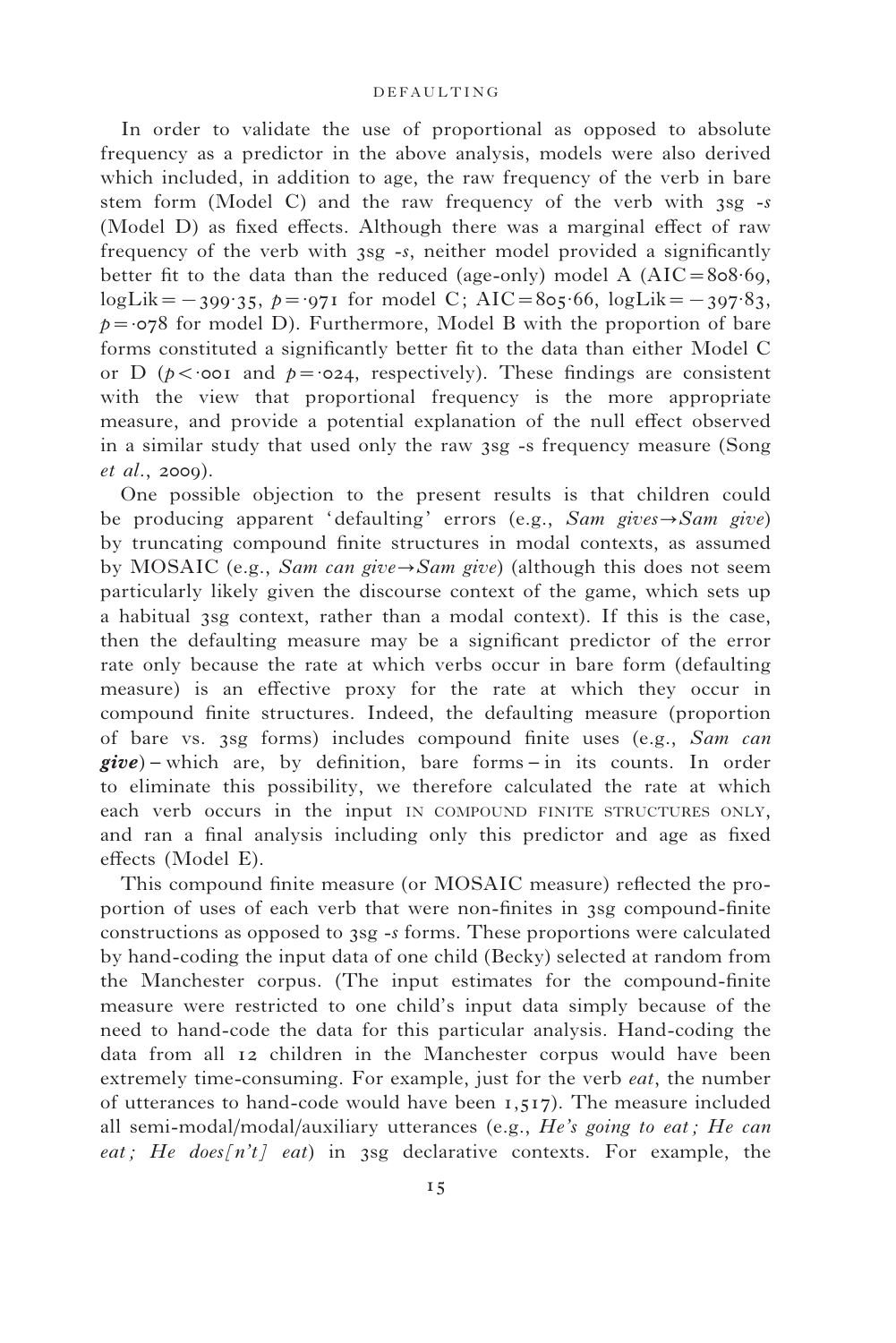In order to validate the use of proportional as opposed to absolute frequency as a predictor in the above analysis, models were also derived which included, in addition to age, the raw frequency of the verb in bare stem form (Model C) and the raw frequency of the verb with  $3sg - s$ (Model D) as fixed effects. Although there was a marginal effect of raw frequency of the verb with 3sg -s, neither model provided a significantly better fit to the data than the reduced (age-only) model A ( $AIC = 808.69$ ,  $logLik = -399.35$ ,  $p = .971$  for model C; AIC=805.66, logLik= $-397.83$ ,  $p = \sigma/8$  for model D). Furthermore, Model B with the proportion of bare forms constituted a significantly better fit to the data than either Model C or D ( $p < \infty$  and  $p = \infty$ 24, respectively). These findings are consistent with the view that proportional frequency is the more appropriate measure, and provide a potential explanation of the null effect observed in a similar study that used only the raw 3sg -s frequency measure (Song *et al.*, 2009).

One possible objection to the present results is that children could be producing apparent 'defaulting' errors (e.g., Sam gives  $\rightarrow$  Sam give) by truncating compound finite structures in modal contexts, as assumed by MOSAIC (e.g., Sam can give  $\rightarrow$  Sam give) (although this does not seem particularly likely given the discourse context of the game, which sets up a habitual 3sg context, rather than a modal context). If this is the case, then the defaulting measure may be a significant predictor of the error rate only because the rate at which verbs occur in bare form (defaulting measure) is an effective proxy for the rate at which they occur in compound finite structures. Indeed, the defaulting measure (proportion of bare vs. 3sg forms) includes compound finite uses (e.g., Sam can  $give$ ) – which are, by definition, bare forms – in its counts. In order to eliminate this possibility, we therefore calculated the rate at which each verb occurs in the input IN COMPOUND FINITE STRUCTURES ONLY, and ran a final analysis including only this predictor and age as fixed effects (Model E).

This compound finite measure (or MOSAIC measure) reflected the proportion of uses of each verb that were non-finites in 3sg compound-finite constructions as opposed to 3sg -s forms. These proportions were calculated by hand-coding the input data of one child (Becky) selected at random from the Manchester corpus. (The input estimates for the compound-finite measure were restricted to one child's input data simply because of the need to hand-code the data for this particular analysis. Hand-coding the data from all 12 children in the Manchester corpus would have been extremely time-consuming. For example, just for the verb *eat*, the number of utterances to hand-code would have been 1,517). The measure included all semi-modal/modal/auxiliary utterances (e.g.,  $He's$  going to eat; He can eat; He does[n't] eat) in 3sg declarative contexts. For example, the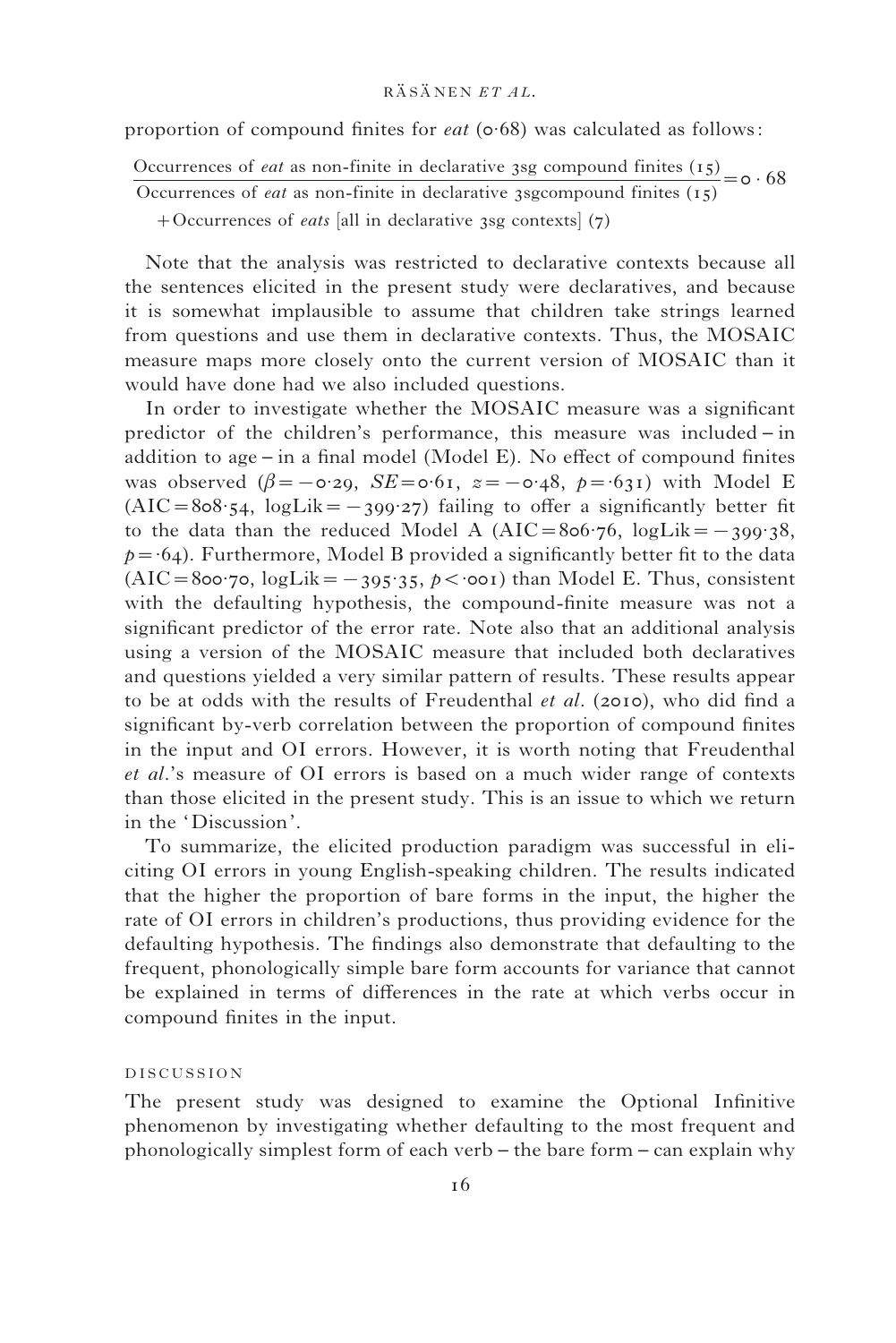proportion of compound finites for *eat* ( $\sigma$ -68) was calculated as follows:

Occurrences of *eat* as non-finite in declarative 3sg compound finites (15) Occurrences of eat as non-finite in declarative 3sg compound finites  $(15)$  =  $\circ$   $\cdot$  68

+ Occurrences of *eats* [all in declarative 3sg contexts] (7)

Note that the analysis was restricted to declarative contexts because all the sentences elicited in the present study were declaratives, and because it is somewhat implausible to assume that children take strings learned from questions and use them in declarative contexts. Thus, the MOSAIC measure maps more closely onto the current version of MOSAIC than it would have done had we also included questions.

In order to investigate whether the MOSAIC measure was a significant predictor of the children's performance, this measure was included – in addition to age – in a final model (Model E). No effect of compound finites was observed  $(\beta=-\infty.29, SE=\infty.61, z=-\infty.48, p=\cdot631)$  with Model E  $(AIC=808.54, logLik = -399.27)$  failing to offer a significantly better fit to the data than the reduced Model A (AIC=806.76, logLik= $-399.38$ ,  $p = 64$ ). Furthermore, Model B provided a significantly better fit to the data  $(AIC=800.70, logLik = -395.35, p < 0.001)$  than Model E. Thus, consistent with the defaulting hypothesis, the compound-finite measure was not a significant predictor of the error rate. Note also that an additional analysis using a version of the MOSAIC measure that included both declaratives and questions yielded a very similar pattern of results. These results appear to be at odds with the results of Freudenthal *et al.* (2010), who did find a significant by-verb correlation between the proportion of compound finites in the input and OI errors. However, it is worth noting that Freudenthal et al.'s measure of OI errors is based on a much wider range of contexts than those elicited in the present study. This is an issue to which we return in the 'Discussion'.

To summarize, the elicited production paradigm was successful in eliciting OI errors in young English-speaking children. The results indicated that the higher the proportion of bare forms in the input, the higher the rate of OI errors in children's productions, thus providing evidence for the defaulting hypothesis. The findings also demonstrate that defaulting to the frequent, phonologically simple bare form accounts for variance that cannot be explained in terms of differences in the rate at which verbs occur in compound finites in the input.

## DISCUSSION

The present study was designed to examine the Optional Infinitive phenomenon by investigating whether defaulting to the most frequent and phonologically simplest form of each verb – the bare form – can explain why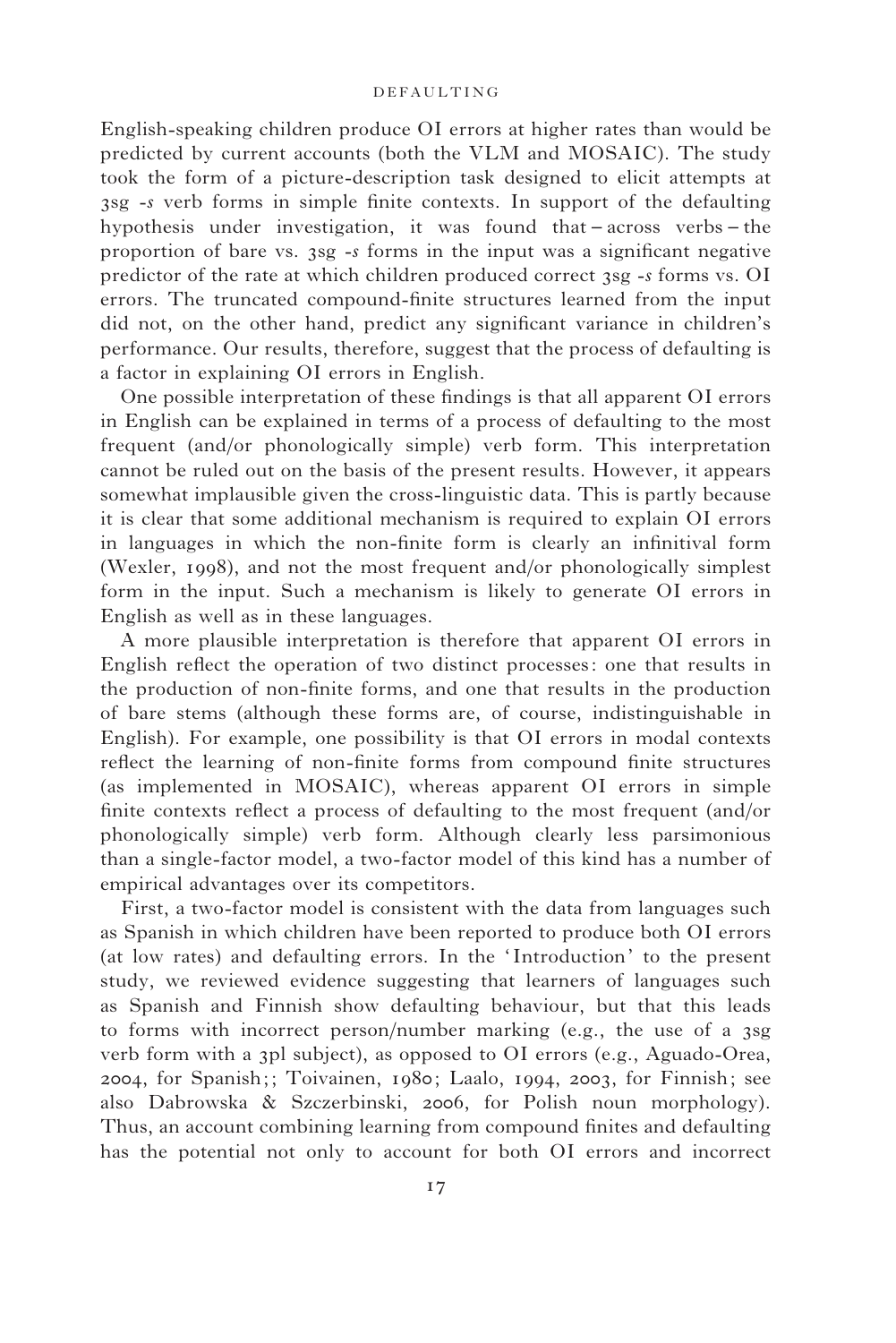English-speaking children produce OI errors at higher rates than would be predicted by current accounts (both the VLM and MOSAIC). The study took the form of a picture-description task designed to elicit attempts at 3sg -s verb forms in simple finite contexts. In support of the defaulting hypothesis under investigation, it was found that – across verbs – the proportion of bare vs.  $3sg -s$  forms in the input was a significant negative predictor of the rate at which children produced correct 3sg -s forms vs. OI errors. The truncated compound-finite structures learned from the input did not, on the other hand, predict any significant variance in children's performance. Our results, therefore, suggest that the process of defaulting is a factor in explaining OI errors in English.

One possible interpretation of these findings is that all apparent OI errors in English can be explained in terms of a process of defaulting to the most frequent (and/or phonologically simple) verb form. This interpretation cannot be ruled out on the basis of the present results. However, it appears somewhat implausible given the cross-linguistic data. This is partly because it is clear that some additional mechanism is required to explain OI errors in languages in which the non-finite form is clearly an infinitival form (Wexler, 1998), and not the most frequent and/or phonologically simplest form in the input. Such a mechanism is likely to generate OI errors in English as well as in these languages.

A more plausible interpretation is therefore that apparent OI errors in English reflect the operation of two distinct processes: one that results in the production of non-finite forms, and one that results in the production of bare stems (although these forms are, of course, indistinguishable in English). For example, one possibility is that OI errors in modal contexts reflect the learning of non-finite forms from compound finite structures (as implemented in MOSAIC), whereas apparent OI errors in simple finite contexts reflect a process of defaulting to the most frequent (and/or phonologically simple) verb form. Although clearly less parsimonious than a single-factor model, a two-factor model of this kind has a number of empirical advantages over its competitors.

First, a two-factor model is consistent with the data from languages such as Spanish in which children have been reported to produce both OI errors (at low rates) and defaulting errors. In the 'Introduction' to the present study, we reviewed evidence suggesting that learners of languages such as Spanish and Finnish show defaulting behaviour, but that this leads to forms with incorrect person/number marking (e.g., the use of a 3sg verb form with a 3pl subject), as opposed to OI errors (e.g., Aguado-Orea, 2004, for Spanish;; Toivainen, 1980; Laalo, 1994, 2003, for Finnish; see also Dabrowska & Szczerbinski, 2006, for Polish noun morphology). Thus, an account combining learning from compound finites and defaulting has the potential not only to account for both OI errors and incorrect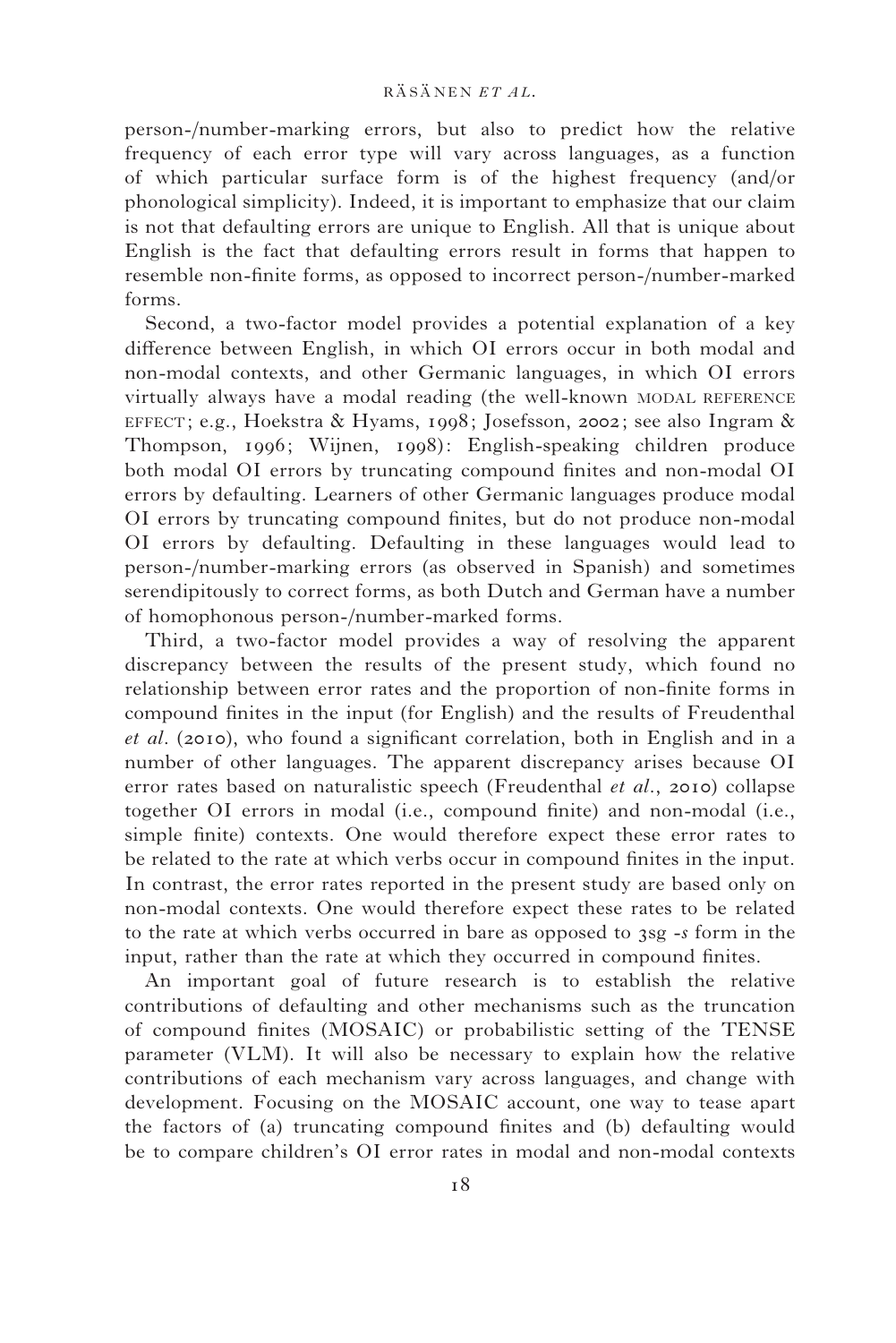person-/number-marking errors, but also to predict how the relative frequency of each error type will vary across languages, as a function of which particular surface form is of the highest frequency (and/or phonological simplicity). Indeed, it is important to emphasize that our claim is not that defaulting errors are unique to English. All that is unique about English is the fact that defaulting errors result in forms that happen to resemble non-finite forms, as opposed to incorrect person-/number-marked forms.

Second, a two-factor model provides a potential explanation of a key difference between English, in which OI errors occur in both modal and non-modal contexts, and other Germanic languages, in which OI errors virtually always have a modal reading (the well-known MODAL REFERENCE EFFECT; e.g., Hoekstra & Hyams, 1998; Josefsson, 2002; see also Ingram & Thompson, 1996; Wijnen, 1998): English-speaking children produce both modal OI errors by truncating compound finites and non-modal OI errors by defaulting. Learners of other Germanic languages produce modal OI errors by truncating compound finites, but do not produce non-modal OI errors by defaulting. Defaulting in these languages would lead to person-/number-marking errors (as observed in Spanish) and sometimes serendipitously to correct forms, as both Dutch and German have a number of homophonous person-/number-marked forms.

Third, a two-factor model provides a way of resolving the apparent discrepancy between the results of the present study, which found no relationship between error rates and the proportion of non-finite forms in compound finites in the input (for English) and the results of Freudenthal et al. (2010), who found a significant correlation, both in English and in a number of other languages. The apparent discrepancy arises because OI error rates based on naturalistic speech (Freudenthal et al., 2010) collapse together OI errors in modal (i.e., compound finite) and non-modal (i.e., simple finite) contexts. One would therefore expect these error rates to be related to the rate at which verbs occur in compound finites in the input. In contrast, the error rates reported in the present study are based only on non-modal contexts. One would therefore expect these rates to be related to the rate at which verbs occurred in bare as opposed to 3sg -s form in the input, rather than the rate at which they occurred in compound finites.

An important goal of future research is to establish the relative contributions of defaulting and other mechanisms such as the truncation of compound finites (MOSAIC) or probabilistic setting of the TENSE parameter (VLM). It will also be necessary to explain how the relative contributions of each mechanism vary across languages, and change with development. Focusing on the MOSAIC account, one way to tease apart the factors of (a) truncating compound finites and (b) defaulting would be to compare children's OI error rates in modal and non-modal contexts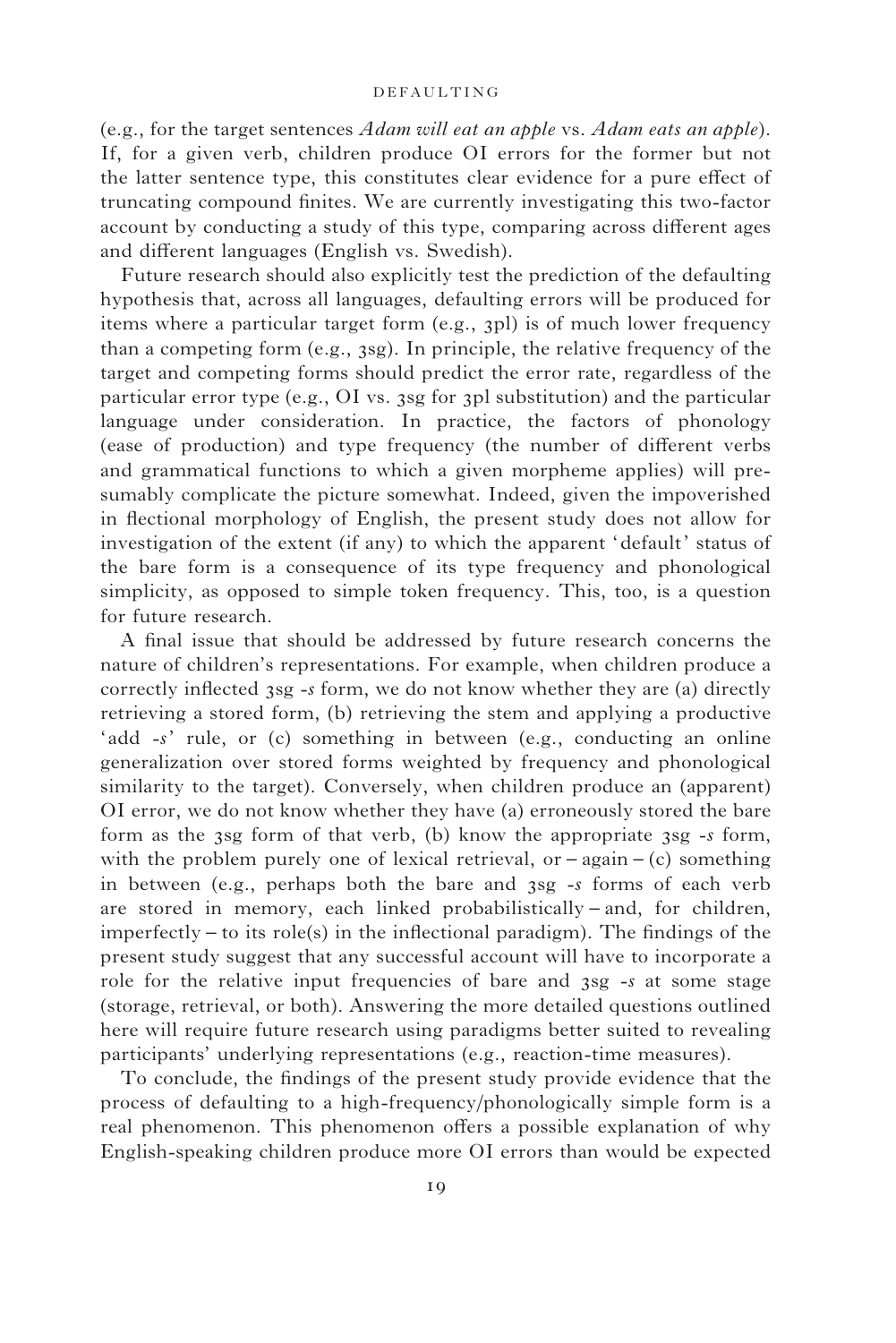(e.g., for the target sentences Adam will eat an apple vs. Adam eats an apple). If, for a given verb, children produce OI errors for the former but not the latter sentence type, this constitutes clear evidence for a pure effect of truncating compound finites. We are currently investigating this two-factor account by conducting a study of this type, comparing across different ages and different languages (English vs. Swedish).

Future research should also explicitly test the prediction of the defaulting hypothesis that, across all languages, defaulting errors will be produced for items where a particular target form (e.g., 3pl) is of much lower frequency than a competing form  $(e.g., 3sg)$ . In principle, the relative frequency of the target and competing forms should predict the error rate, regardless of the particular error type (e.g., OI vs. 3sg for 3pl substitution) and the particular language under consideration. In practice, the factors of phonology (ease of production) and type frequency (the number of different verbs and grammatical functions to which a given morpheme applies) will presumably complicate the picture somewhat. Indeed, given the impoverished in flectional morphology of English, the present study does not allow for investigation of the extent (if any) to which the apparent 'default' status of the bare form is a consequence of its type frequency and phonological simplicity, as opposed to simple token frequency. This, too, is a question for future research.

A final issue that should be addressed by future research concerns the nature of children's representations. For example, when children produce a correctly inflected 3sg -s form, we do not know whether they are (a) directly retrieving a stored form, (b) retrieving the stem and applying a productive 'add -s' rule, or (c) something in between (e.g., conducting an online generalization over stored forms weighted by frequency and phonological similarity to the target). Conversely, when children produce an (apparent) OI error, we do not know whether they have (a) erroneously stored the bare form as the 3sg form of that verb, (b) know the appropriate 3sg -s form, with the problem purely one of lexical retrieval,  $or - again - (c)$  something in between (e.g., perhaps both the bare and  $3sg -s$  forms of each verb are stored in memory, each linked probabilistically – and, for children, imperfectly – to its role(s) in the inflectional paradigm). The findings of the present study suggest that any successful account will have to incorporate a role for the relative input frequencies of bare and 3sg -s at some stage (storage, retrieval, or both). Answering the more detailed questions outlined here will require future research using paradigms better suited to revealing participants' underlying representations (e.g., reaction-time measures).

To conclude, the findings of the present study provide evidence that the process of defaulting to a high-frequency/phonologically simple form is a real phenomenon. This phenomenon offers a possible explanation of why English-speaking children produce more OI errors than would be expected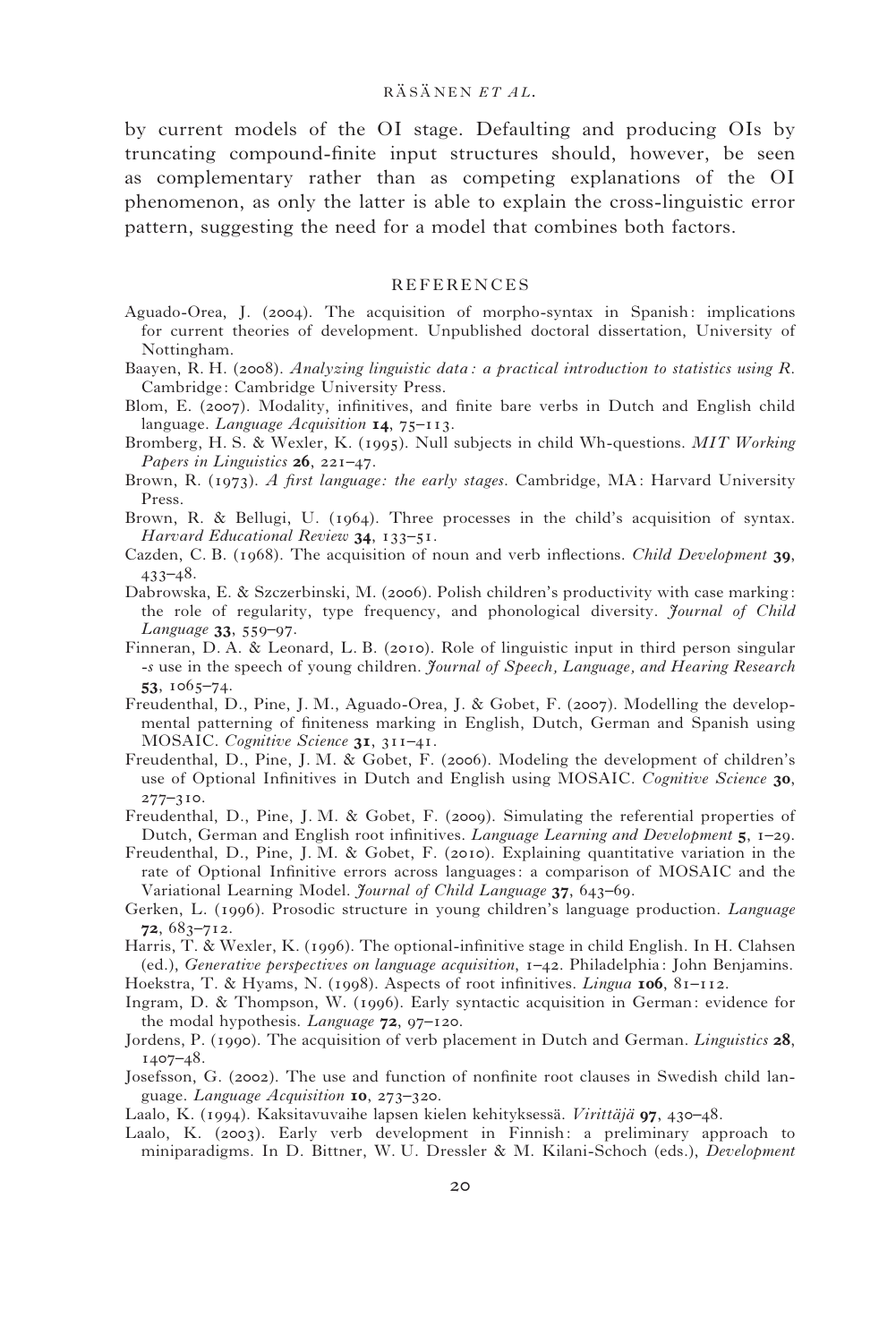by current models of the OI stage. Defaulting and producing OIs by truncating compound-finite input structures should, however, be seen as complementary rather than as competing explanations of the OI phenomenon, as only the latter is able to explain the cross-linguistic error pattern, suggesting the need for a model that combines both factors.

#### REFERENCES

- Aguado-Orea, J. (2004). The acquisition of morpho-syntax in Spanish: implications for current theories of development. Unpublished doctoral dissertation, University of Nottingham.
- Baayen, R. H. (2008). Analyzing linguistic data : a practical introduction to statistics using R. Cambridge: Cambridge University Press.
- Blom, E. (2007). Modality, infinitives, and finite bare verbs in Dutch and English child language. Language Acquisition  $I_4$ , 75–113.
- Bromberg, H. S. & Wexler, K. (1995). Null subjects in child Wh-questions. MIT Working Papers in Linguistics 26, 221-47.
- Brown, R. (1973). A first language: the early stages. Cambridge, MA: Harvard University Press.
- Brown, R. & Bellugi, U. (1964). Three processes in the child's acquisition of syntax. Harvard Educational Review 34, 133–51.
- Cazden, C. B. (1968). The acquisition of noun and verb inflections. Child Development 39, 433–48.
- Dabrowska, E. & Szczerbinski, M. (2006). Polish children's productivity with case marking: the role of regularity, type frequency, and phonological diversity. Journal of Child Language 33, 559–97.
- Finneran, D. A. & Leonard, L. B. (2010). Role of linguistic input in third person singular -s use in the speech of young children. *Journal of Speech, Language, and Hearing Research* 53, 1065–74.
- Freudenthal, D., Pine, J. M., Aguado-Orea, J. & Gobet, F. (2007). Modelling the developmental patterning of finiteness marking in English, Dutch, German and Spanish using MOSAIC. Cognitive Science 31, 311–41.
- Freudenthal, D., Pine, J. M. & Gobet, F. (2006). Modeling the development of children's use of Optional Infinitives in Dutch and English using MOSAIC. Cognitive Science 30, 277–310.
- Freudenthal, D., Pine, J. M. & Gobet, F. (2009). Simulating the referential properties of Dutch, German and English root infinitives. *Language Learning and Development* 5, 1–29.
- Freudenthal, D., Pine, J. M. & Gobet, F. (2010). Explaining quantitative variation in the rate of Optional Infinitive errors across languages: a comparison of MOSAIC and the Variational Learning Model. Journal of Child Language 37, 643-69.
- Gerken, L. (1996). Prosodic structure in young children's language production. Language 72, 683–712.
- Harris, T. & Wexler, K. (1996). The optional-infinitive stage in child English. In H. Clahsen (ed.), Generative perspectives on language acquisition, 1–42. Philadelphia: John Benjamins.
- Hoekstra, T. & Hyams, N. (1998). Aspects of root infinitives. Lingua 106,  $81$ –112.
- Ingram, D. & Thompson, W. (1996). Early syntactic acquisition in German: evidence for the modal hypothesis. Language 72, 97-120.
- Jordens, P. (1990). The acquisition of verb placement in Dutch and German. Linguistics 28, 1407–48.
- Josefsson, G. (2002). The use and function of nonfinite root clauses in Swedish child language. Language Acquisition 10, 273–320.
- Laalo, K. (1994). Kaksitavuvaihe lapsen kielen kehityksessä. Virittäjä 97, 430–48.
- Laalo, K. (2003). Early verb development in Finnish: a preliminary approach to miniparadigms. In D. Bittner, W. U. Dressler & M. Kilani-Schoch (eds.), Development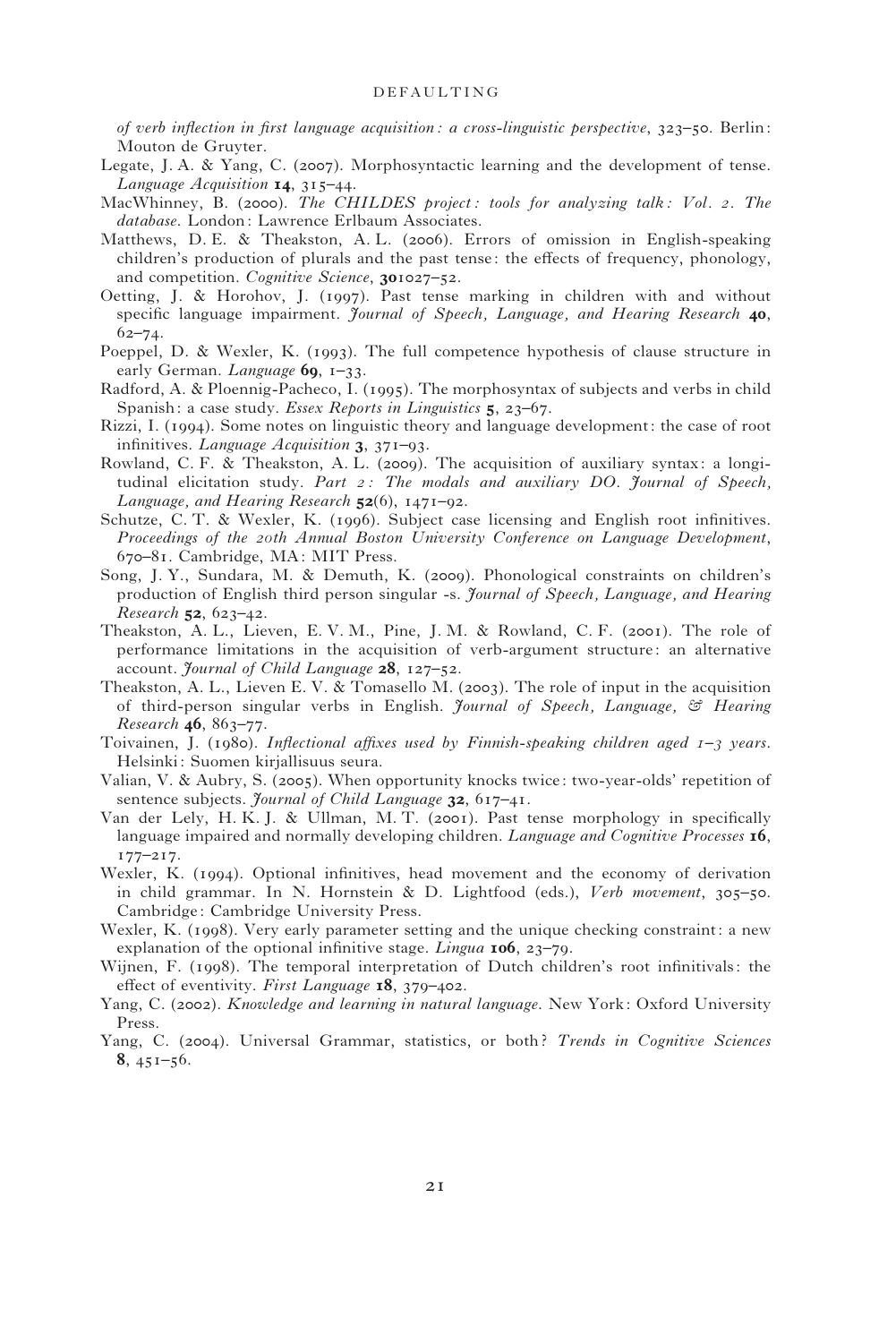of verb inflection in first language acquisition : a cross-linguistic perspective, 323–50. Berlin: Mouton de Gruyter.

- Legate, J. A. & Yang, C. (2007). Morphosyntactic learning and the development of tense. Language Acquisition  $I_4$ ,  $315-44$ .
- MacWhinney, B. (2000). The CHILDES project: tools for analyzing talk: Vol. 2. The database. London: Lawrence Erlbaum Associates.
- Matthews, D. E. & Theakston, A. L. (2006). Errors of omission in English-speaking children's production of plurals and the past tense: the effects of frequency, phonology, and competition. Cognitive Science, 301027-52.
- Oetting, J. & Horohov, J. (1997). Past tense marking in children with and without specific language impairment. Journal of Speech, Language, and Hearing Research 40,  $62 - 74.$
- Poeppel, D. & Wexler, K. (1993). The full competence hypothesis of clause structure in early German. Language  $69$ ,  $1-33$ .
- Radford, A. & Ploennig-Pacheco, I. (1995). The morphosyntax of subjects and verbs in child Spanish: a case study. Essex Reports in Linguistics 5, 23-67.
- Rizzi, I. (1994). Some notes on linguistic theory and language development: the case of root infinitives. Language Acquisition 3, 371–93.
- Rowland, C. F. & Theakston, A. L. (2009). The acquisition of auxiliary syntax: a longitudinal elicitation study. Part 2: The modals and auxiliary DO. Journal of Speech, Language, and Hearing Research  $52(6)$ , 1471–92.
- Schutze, C. T. & Wexler, K. (1996). Subject case licensing and English root infinitives. Proceedings of the 20th Annual Boston University Conference on Language Development, 670–81. Cambridge, MA: MIT Press.
- Song, J. Y., Sundara, M. & Demuth, K. (2009). Phonological constraints on children's production of English third person singular -s. *Journal of Speech, Language, and Hearing* Research  $52, 623 - 42.$
- Theakston, A. L., Lieven, E. V. M., Pine, J. M. & Rowland, C. F. (2001). The role of performance limitations in the acquisition of verb-argument structure: an alternative account. Journal of Child Language 28, 127-52.
- Theakston, A. L., Lieven E. V. & Tomasello M. (2003). The role of input in the acquisition of third-person singular verbs in English. Journal of Speech, Language, & Hearing  $Research 46, 863-77.$
- Toivainen, J. (1980). Inflectional affixes used by Finnish-speaking children aged  $1-3$  years. Helsinki: Suomen kirjallisuus seura.
- Valian, V. & Aubry, S. (2005). When opportunity knocks twice: two-year-olds' repetition of sentence subjects. *Journal of Child Language* 32,  $617-41$ .
- Van der Lely, H. K. J. & Ullman, M. T. (2001). Past tense morphology in specifically language impaired and normally developing children. *Language and Cognitive Processes* 16, 177–217.
- Wexler, K. (1994). Optional infinitives, head movement and the economy of derivation in child grammar. In N. Hornstein & D. Lightfood (eds.), Verb movement, 305–50. Cambridge: Cambridge University Press.
- Wexler, K. (1998). Very early parameter setting and the unique checking constraint: a new explanation of the optional infinitive stage. *Lingua* **106**,  $23-79$ .
- Wijnen, F. (1998). The temporal interpretation of Dutch children's root infinitivals: the effect of eventivity. First Language 18, 379-402.
- Yang, C. (2002). Knowledge and learning in natural language. New York: Oxford University Press.
- Yang, C. (2004). Universal Grammar, statistics, or both? Trends in Cognitive Sciences  $8,451-56.$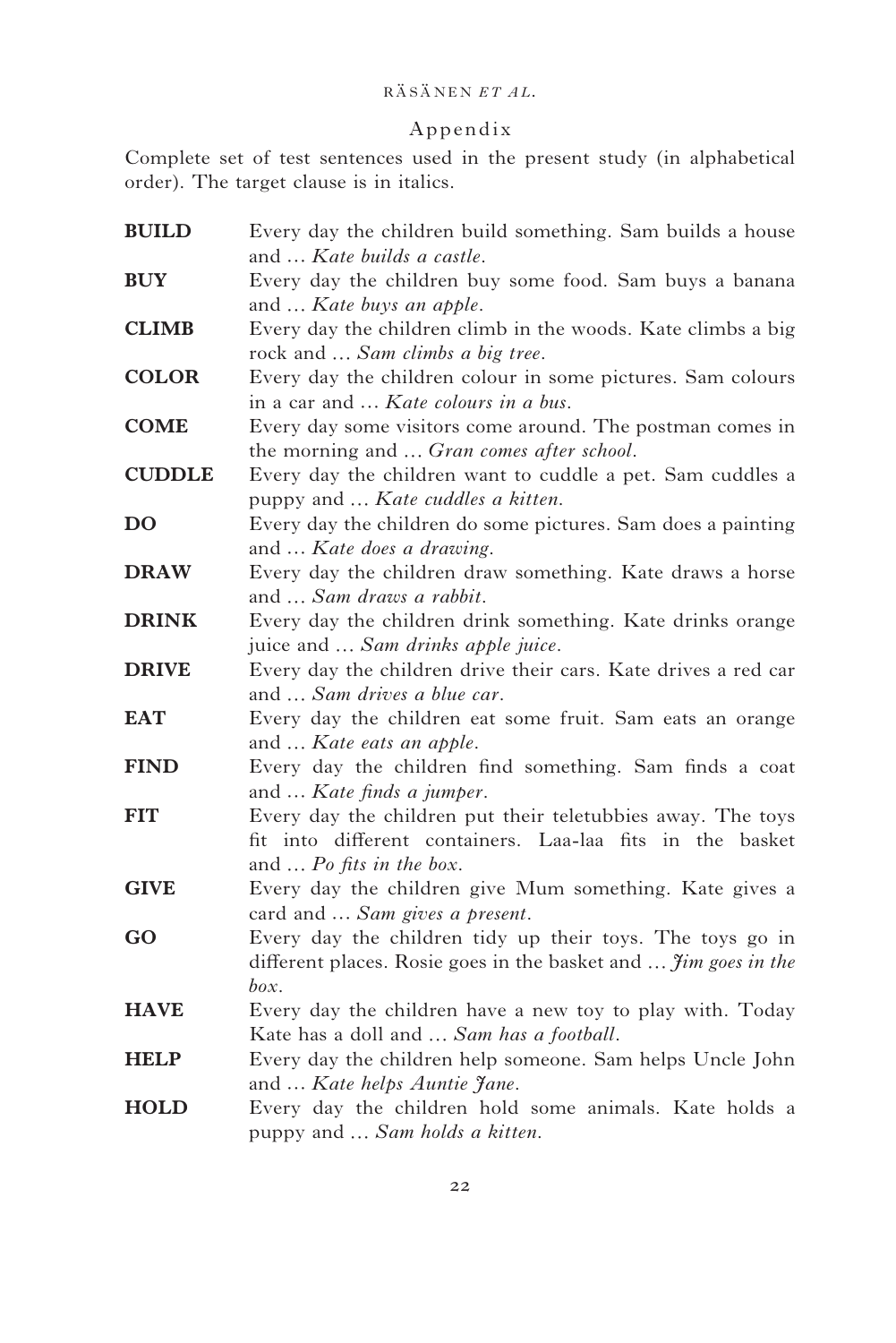## RÄSÄNEN ET AL.

## Appendix

Complete set of test sentences used in the present study (in alphabetical order). The target clause is in italics.

| <b>BUILD</b>  | Every day the children build something. Sam builds a house      |
|---------------|-----------------------------------------------------------------|
|               | and  Kate builds a castle.                                      |
| <b>BUY</b>    | Every day the children buy some food. Sam buys a banana         |
|               | and  Kate buys an apple.                                        |
| <b>CLIMB</b>  | Every day the children climb in the woods. Kate climbs a big    |
|               | rock and  Sam climbs a big tree.                                |
| <b>COLOR</b>  | Every day the children colour in some pictures. Sam colours     |
|               | in a car and  Kate colours in a bus.                            |
| <b>COME</b>   | Every day some visitors come around. The postman comes in       |
|               | the morning and  Gran comes after school.                       |
| <b>CUDDLE</b> | Every day the children want to cuddle a pet. Sam cuddles a      |
|               | puppy and  Kate cuddles a kitten.                               |
| DO            | Every day the children do some pictures. Sam does a painting    |
|               | and  Kate does a drawing.                                       |
| <b>DRAW</b>   | Every day the children draw something. Kate draws a horse       |
|               | and  Sam draws a rabbit.                                        |
| <b>DRINK</b>  | Every day the children drink something. Kate drinks orange      |
|               | juice and  Sam drinks apple juice.                              |
| <b>DRIVE</b>  | Every day the children drive their cars. Kate drives a red car  |
|               | and  Sam drives a blue car.                                     |
| <b>EAT</b>    | Every day the children eat some fruit. Sam eats an orange       |
|               | and  Kate eats an apple.                                        |
| <b>FIND</b>   | Every day the children find something. Sam finds a coat         |
|               | and  Kate finds a jumper.                                       |
| <b>FIT</b>    | Every day the children put their teletubbies away. The toys     |
|               | fit into different containers. Laa-laa fits in the basket       |
|               | and $\ldots$ <i>Po fits in the box.</i>                         |
| <b>GIVE</b>   | Every day the children give Mum something. Kate gives a         |
|               | card and  Sam gives a present.                                  |
| GO            | Every day the children tidy up their toys. The toys go in       |
|               | different places. Rosie goes in the basket and  Jim goes in the |
|               | box.                                                            |
| <b>HAVE</b>   | Every day the children have a new toy to play with. Today       |
|               | Kate has a doll and  Sam has a football.                        |
| <b>HELP</b>   | Every day the children help someone. Sam helps Uncle John       |
|               | and  Kate helps Auntie Jane.                                    |
| <b>HOLD</b>   | Every day the children hold some animals. Kate holds a          |
|               | puppy and  Sam holds a kitten.                                  |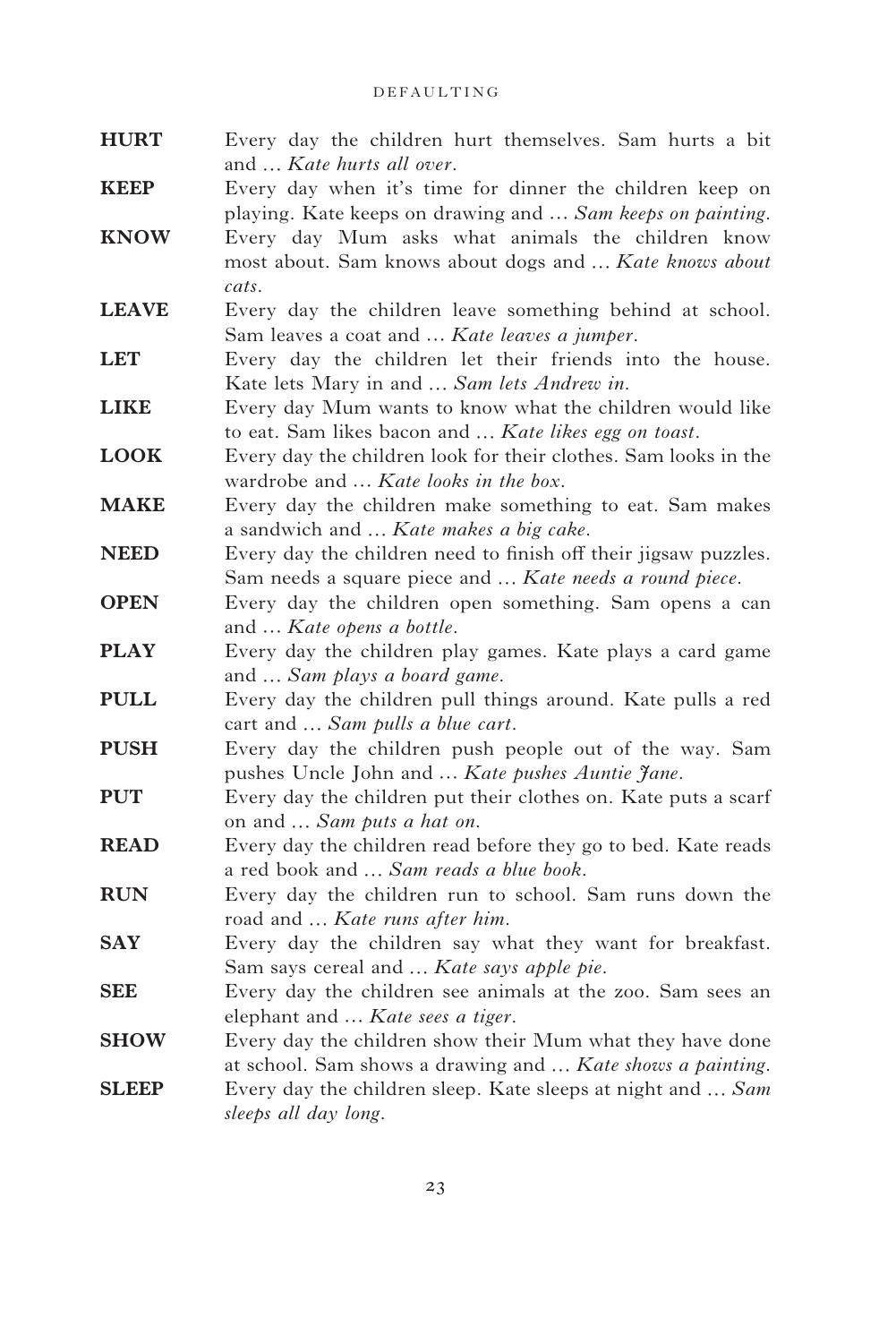- HURT Every day the children hurt themselves. Sam hurts a bit and ... Kate hurts all over.
- KEEP Every day when it's time for dinner the children keep on playing. Kate keeps on drawing and ... Sam keeps on painting.
- KNOW Every day Mum asks what animals the children know most about. Sam knows about dogs and ... Kate knows about cats.
- LEAVE Every day the children leave something behind at school. Sam leaves a coat and ... Kate leaves a jumper.
- LET Every day the children let their friends into the house. Kate lets Mary in and ... Sam lets Andrew in.
- LIKE Every day Mum wants to know what the children would like to eat. Sam likes bacon and  $\ldots$  Kate likes egg on toast.
- LOOK Every day the children look for their clothes. Sam looks in the wardrobe and ... Kate looks in the box.
- MAKE Every day the children make something to eat. Sam makes a sandwich and  $\ldots$  Kate makes a big cake.
- NEED Every day the children need to finish off their jigsaw puzzles. Sam needs a square piece and ... Kate needs a round piece.
- OPEN Every day the children open something. Sam opens a can and ... Kate opens a bottle.
- PLAY Every day the children play games. Kate plays a card game and  $\ldots$  Sam plays a board game.
- PULL Every day the children pull things around. Kate pulls a red cart and ... Sam pulls a blue cart.
- PUSH Every day the children push people out of the way. Sam pushes Uncle John and ... Kate pushes Auntie Jane.
- PUT Every day the children put their clothes on. Kate puts a scarf on and ... Sam puts a hat on.
- **READ** Every day the children read before they go to bed. Kate reads a red book and ... Sam reads a blue book.
- RUN Every day the children run to school. Sam runs down the road and ... Kate runs after him.
- SAY Every day the children say what they want for breakfast. Sam says cereal and ... Kate says apple pie.
- SEE Every day the children see animals at the zoo. Sam sees an elephant and  $\ldots$  Kate sees a tiger.
- **SHOW** Every day the children show their Mum what they have done at school. Sam shows a drawing and ... Kate shows a painting.
- **SLEEP** Every day the children sleep. Kate sleeps at night and  $\ldots$  Sam sleeps all day long.